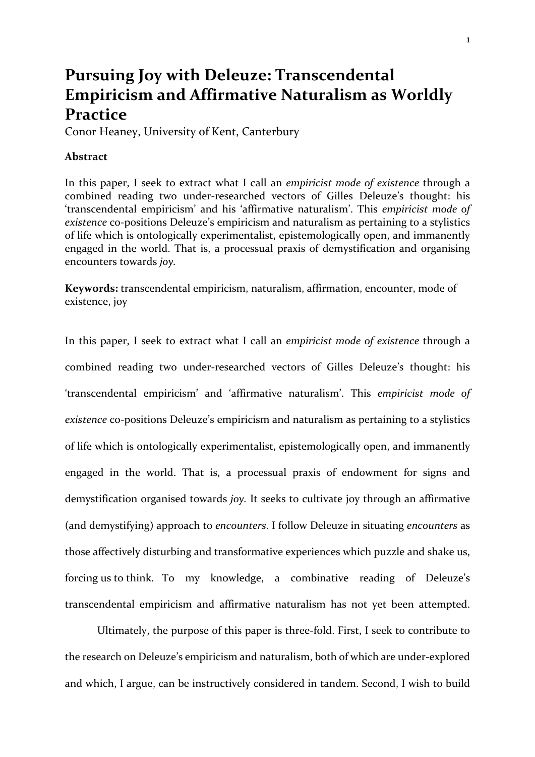# **Pursuing Joy with Deleuze: Transcendental Empiricism and Affirmative Naturalism as Worldly Practice**

Conor Heaney, University of Kent, Canterbury

## **Abstract**

In this paper, I seek to extract what I call an *empiricist mode of existence* through a combined reading two under-researched vectors of Gilles Deleuze's thought: his 'transcendental empiricism' and his 'affirmative naturalism'. This *empiricist mode of existence* co-positions Deleuze's empiricism and naturalism as pertaining to a stylistics of life which is ontologically experimentalist, epistemologically open, and immanently engaged in the world. That is, a processual praxis of demystification and organising encounters towards *joy.* 

**Keywords:** transcendental empiricism, naturalism, affirmation, encounter, mode of existence, joy

In this paper, I seek to extract what I call an *empiricist mode of existence* through a combined reading two under-researched vectors of Gilles Deleuze's thought: his 'transcendental empiricism' and 'affirmative naturalism'. This *empiricist mode of existence* co-positions Deleuze's empiricism and naturalism as pertaining to a stylistics of life which is ontologically experimentalist, epistemologically open, and immanently engaged in the world. That is, a processual praxis of endowment for signs and demystification organised towards *joy.* It seeks to cultivate joy through an affirmative (and demystifying) approach to *encounters*. I follow Deleuze in situating *encounters* as those affectively disturbing and transformative experiences which puzzle and shake us, forcing us to think. To my knowledge, a combinative reading of Deleuze's transcendental empiricism and affirmative naturalism has not yet been attempted.

Ultimately, the purpose of this paper is three-fold. First, I seek to contribute to the research on Deleuze's empiricism and naturalism, both of which are under-explored and which, I argue, can be instructively considered in tandem. Second, I wish to build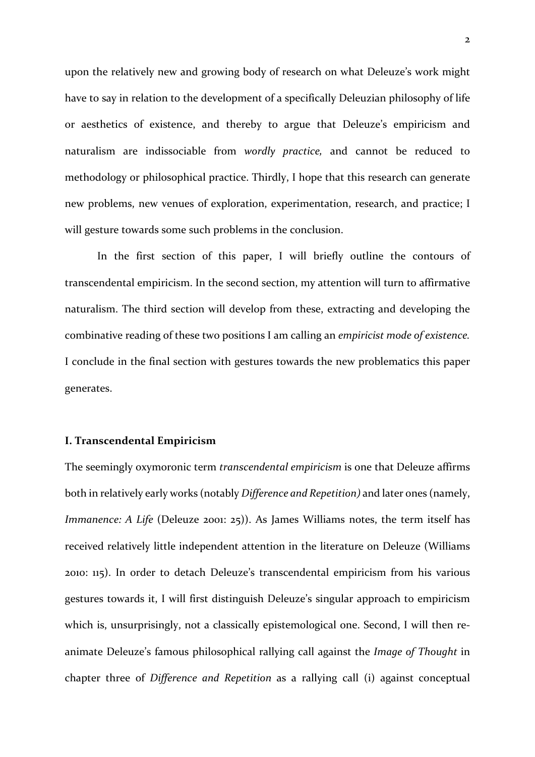upon the relatively new and growing body of research on what Deleuze's work might have to say in relation to the development of a specifically Deleuzian philosophy of life or aesthetics of existence, and thereby to argue that Deleuze's empiricism and naturalism are indissociable from *wordly practice,* and cannot be reduced to methodology or philosophical practice. Thirdly, I hope that this research can generate new problems, new venues of exploration, experimentation, research, and practice; I will gesture towards some such problems in the conclusion.

In the first section of this paper, I will briefly outline the contours of transcendental empiricism. In the second section, my attention will turn to affirmative naturalism. The third section will develop from these, extracting and developing the combinative reading of these two positions I am calling an *empiricist mode of existence.*  I conclude in the final section with gestures towards the new problematics this paper generates.

### **I. Transcendental Empiricism**

The seemingly oxymoronic term *transcendental empiricism* is one that Deleuze affirms both in relatively early works (notably *Difference and Repetition)* and later ones (namely, *Immanence: A Life* (Deleuze 2001: 25)). As James Williams notes, the term itself has received relatively little independent attention in the literature on Deleuze (Williams 2010: 115). In order to detach Deleuze's transcendental empiricism from his various gestures towards it, I will first distinguish Deleuze's singular approach to empiricism which is, unsurprisingly, not a classically epistemological one. Second, I will then reanimate Deleuze's famous philosophical rallying call against the *Image of Thought* in chapter three of *Difference and Repetition* as a rallying call (i) against conceptual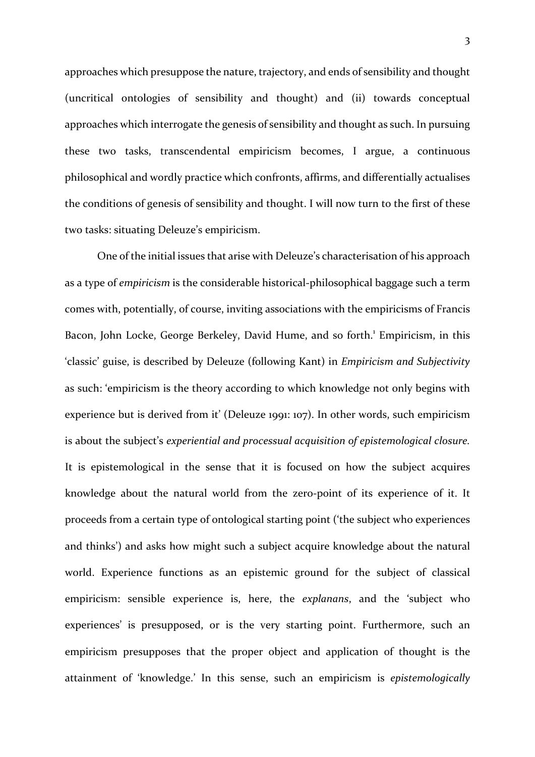approaches which presuppose the nature, trajectory, and ends of sensibility and thought (uncritical ontologies of sensibility and thought) and (ii) towards conceptual approaches which interrogate the genesis of sensibility and thought as such. In pursuing these two tasks, transcendental empiricism becomes, I argue, a continuous philosophical and wordly practice which confronts, affirms, and differentially actualises the conditions of genesis of sensibility and thought. I will now turn to the first of these two tasks: situating Deleuze's empiricism.

One of the initial issues that arise with Deleuze's characterisation of his approach as a type of *empiricism* is the considerable historical-philosophical baggage such a term comes with, potentially, of course, inviting associations with the empiricisms of Francis Bacon, John Locke, George Berkeley, David Hume, and so forth.<sup>1</sup> Empiricism, in this 'classic' guise, is described by Deleuze (following Kant) in *Empiricism and Subjectivity*  as such: 'empiricism is the theory according to which knowledge not only begins with experience but is derived from it' (Deleuze 1991: 107). In other words, such empiricism is about the subject's *experiential and processual acquisition of epistemological closure.*  It is epistemological in the sense that it is focused on how the subject acquires knowledge about the natural world from the zero-point of its experience of it. It proceeds from a certain type of ontological starting point ('the subject who experiences and thinks') and asks how might such a subject acquire knowledge about the natural world. Experience functions as an epistemic ground for the subject of classical empiricism: sensible experience is, here, the *explanans*, and the 'subject who experiences' is presupposed, or is the very starting point. Furthermore, such an empiricism presupposes that the proper object and application of thought is the attainment of 'knowledge.' In this sense, such an empiricism is *epistemologically*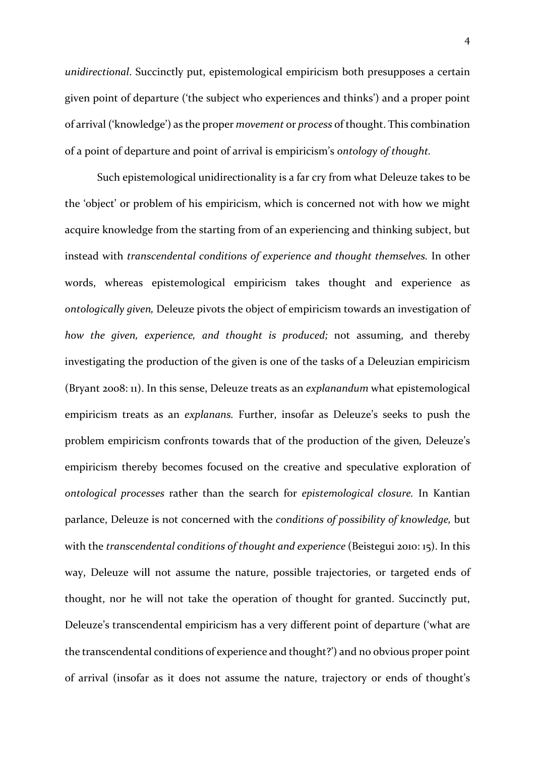*unidirectional*. Succinctly put, epistemological empiricism both presupposes a certain given point of departure ('the subject who experiences and thinks') and a proper point of arrival ('knowledge') as the proper *movement* or *process* of thought. This combination of a point of departure and point of arrival is empiricism's *ontology of thought.*

Such epistemological unidirectionality is a far cry from what Deleuze takes to be the 'object' or problem of his empiricism, which is concerned not with how we might acquire knowledge from the starting from of an experiencing and thinking subject, but instead with *transcendental conditions of experience and thought themselves.* In other words, whereas epistemological empiricism takes thought and experience as *ontologically given,* Deleuze pivots the object of empiricism towards an investigation of *how the given, experience, and thought is produced;* not assuming, and thereby investigating the production of the given is one of the tasks of a Deleuzian empiricism (Bryant 2008: 11). In this sense, Deleuze treats as an *explanandum* what epistemological empiricism treats as an *explanans.* Further, insofar as Deleuze's seeks to push the problem empiricism confronts towards that of the production of the given*,* Deleuze's empiricism thereby becomes focused on the creative and speculative exploration of *ontological processes* rather than the search for *epistemological closure.* In Kantian parlance, Deleuze is not concerned with the *conditions of possibility of knowledge,* but with the *transcendental conditions of thought and experience* (Beistegui 2010: 15). In this way, Deleuze will not assume the nature, possible trajectories, or targeted ends of thought, nor he will not take the operation of thought for granted. Succinctly put, Deleuze's transcendental empiricism has a very different point of departure ('what are the transcendental conditions of experience and thought?') and no obvious proper point of arrival (insofar as it does not assume the nature, trajectory or ends of thought's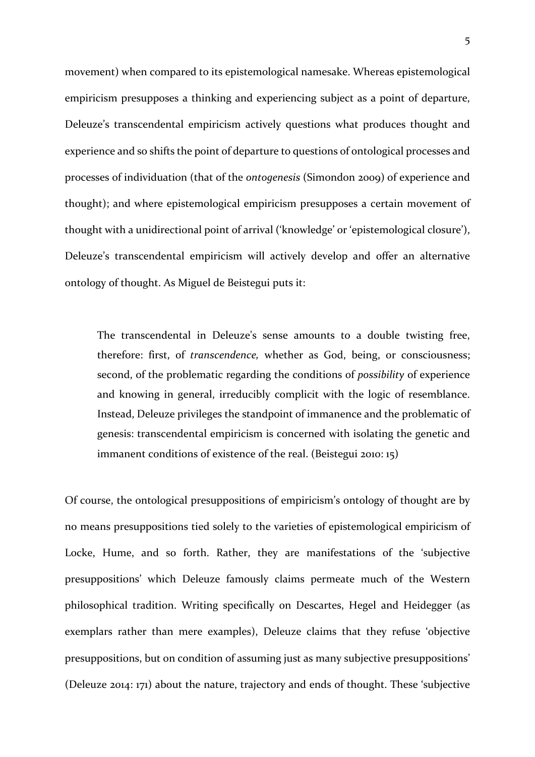movement) when compared to its epistemological namesake. Whereas epistemological empiricism presupposes a thinking and experiencing subject as a point of departure, Deleuze's transcendental empiricism actively questions what produces thought and experience and so shifts the point of departure to questions of ontological processes and processes of individuation (that of the *ontogenesis* (Simondon 2009) of experience and thought); and where epistemological empiricism presupposes a certain movement of thought with a unidirectional point of arrival ('knowledge' or 'epistemological closure'), Deleuze's transcendental empiricism will actively develop and offer an alternative ontology of thought. As Miguel de Beistegui puts it:

The transcendental in Deleuze's sense amounts to a double twisting free, therefore: first, of *transcendence,* whether as God, being, or consciousness; second, of the problematic regarding the conditions of *possibility* of experience and knowing in general, irreducibly complicit with the logic of resemblance. Instead, Deleuze privileges the standpoint of immanence and the problematic of genesis: transcendental empiricism is concerned with isolating the genetic and immanent conditions of existence of the real. (Beistegui 2010: 15)

Of course, the ontological presuppositions of empiricism's ontology of thought are by no means presuppositions tied solely to the varieties of epistemological empiricism of Locke, Hume, and so forth. Rather, they are manifestations of the 'subjective presuppositions' which Deleuze famously claims permeate much of the Western philosophical tradition. Writing specifically on Descartes, Hegel and Heidegger (as exemplars rather than mere examples), Deleuze claims that they refuse 'objective presuppositions, but on condition of assuming just as many subjective presuppositions' (Deleuze 2014: 171) about the nature, trajectory and ends of thought. These 'subjective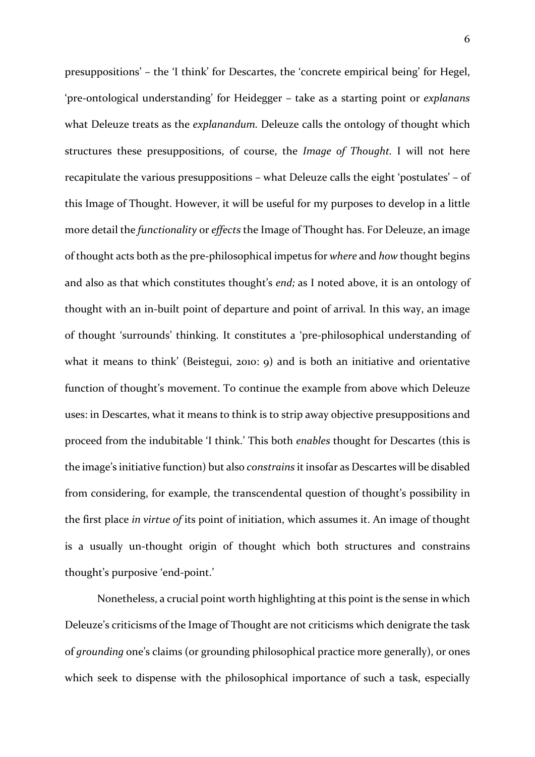presuppositions' – the 'I think' for Descartes, the 'concrete empirical being' for Hegel, 'pre-ontological understanding' for Heidegger – take as a starting point or *explanans*  what Deleuze treats as the *explanandum.* Deleuze calls the ontology of thought which structures these presuppositions, of course, the *Image of Thought.* I will not here recapitulate the various presuppositions – what Deleuze calls the eight 'postulates' – of this Image of Thought. However, it will be useful for my purposes to develop in a little more detail the *functionality* or *effects* the Image of Thought has. For Deleuze, an image of thought acts both as the pre-philosophical impetus for *where* and *how* thought begins and also as that which constitutes thought's *end;* as I noted above, it is an ontology of thought with an in-built point of departure and point of arrival*.* In this way, an image of thought 'surrounds' thinking. It constitutes a 'pre-philosophical understanding of what it means to think' (Beistegui, 2010: 9) and is both an initiative and orientative function of thought's movement. To continue the example from above which Deleuze uses: in Descartes, what it means to think is to strip away objective presuppositions and proceed from the indubitable 'I think.' This both *enables* thought for Descartes (this is the image's initiative function) but also *constrains* it insofar as Descartes will be disabled from considering, for example, the transcendental question of thought's possibility in the first place *in virtue of* its point of initiation, which assumes it. An image of thought is a usually un-thought origin of thought which both structures and constrains thought's purposive 'end-point.'

Nonetheless, a crucial point worth highlighting at this point is the sense in which Deleuze's criticisms of the Image of Thought are not criticisms which denigrate the task of *grounding* one's claims (or grounding philosophical practice more generally), or ones which seek to dispense with the philosophical importance of such a task, especially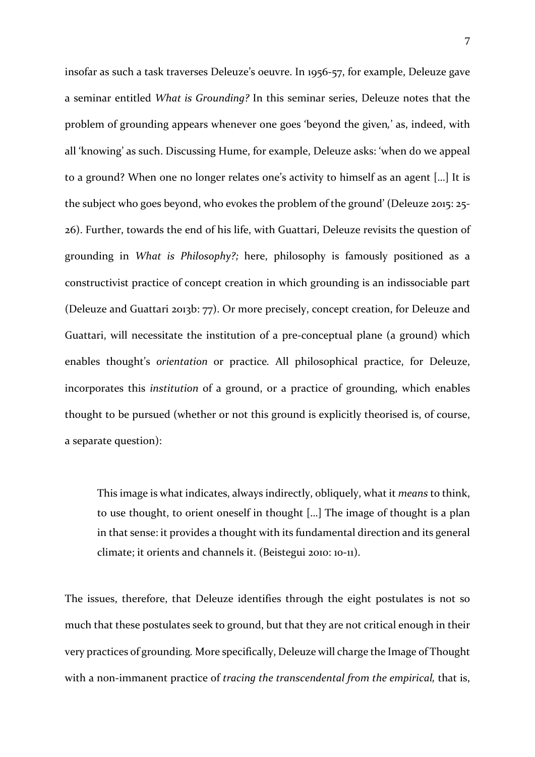insofar as such a task traverses Deleuze's oeuvre. In 1956-57, for example, Deleuze gave a seminar entitled *What is Grounding?* In this seminar series, Deleuze notes that the problem of grounding appears whenever one goes 'beyond the given*,*' as, indeed, with all 'knowing' as such. Discussing Hume, for example, Deleuze asks: 'when do we appeal to a ground? When one no longer relates one's activity to himself as an agent […] It is the subject who goes beyond, who evokes the problem of the ground' (Deleuze 2015: 25- 26). Further, towards the end of his life, with Guattari, Deleuze revisits the question of grounding in *What is Philosophy?;* here, philosophy is famously positioned as a constructivist practice of concept creation in which grounding is an indissociable part (Deleuze and Guattari 2013b: 77). Or more precisely, concept creation, for Deleuze and Guattari, will necessitate the institution of a pre-conceptual plane (a ground) which enables thought's *orientation* or practice*.* All philosophical practice, for Deleuze, incorporates this *institution* of a ground, or a practice of grounding, which enables thought to be pursued (whether or not this ground is explicitly theorised is, of course, a separate question):

This image is what indicates, always indirectly, obliquely, what it *means* to think, to use thought, to orient oneself in thought […] The image of thought is a plan in that sense: it provides a thought with its fundamental direction and its general climate; it orients and channels it. (Beistegui 2010: 10-11).

The issues, therefore, that Deleuze identifies through the eight postulates is not so much that these postulates seek to ground, but that they are not critical enough in their very practices of grounding*.* More specifically, Deleuze will charge the Image of Thought with a non-immanent practice of *tracing the transcendental from the empirical,* that is,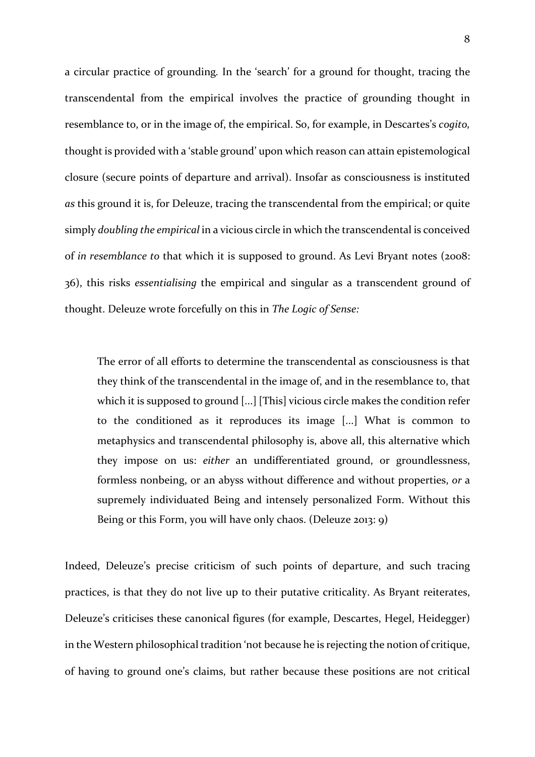a circular practice of grounding*.* In the 'search' for a ground for thought, tracing the transcendental from the empirical involves the practice of grounding thought in resemblance to, or in the image of, the empirical. So, for example, in Descartes's *cogito,*  thought is provided with a 'stable ground' upon which reason can attain epistemological closure (secure points of departure and arrival). Insofar as consciousness is instituted *as* this ground it is, for Deleuze, tracing the transcendental from the empirical; or quite simply *doubling the empirical* in a vicious circle in which the transcendental is conceived of *in resemblance to* that which it is supposed to ground. As Levi Bryant notes (2008: 36), this risks *essentialising* the empirical and singular as a transcendent ground of thought. Deleuze wrote forcefully on this in *The Logic of Sense:* 

The error of all efforts to determine the transcendental as consciousness is that they think of the transcendental in the image of, and in the resemblance to, that which it is supposed to ground [...] [This] vicious circle makes the condition refer to the conditioned as it reproduces its image [...] What is common to metaphysics and transcendental philosophy is, above all, this alternative which they impose on us: *either* an undifferentiated ground, or groundlessness, formless nonbeing, or an abyss without difference and without properties, *or* a supremely individuated Being and intensely personalized Form. Without this Being or this Form, you will have only chaos. (Deleuze 2013: 9)

Indeed, Deleuze's precise criticism of such points of departure, and such tracing practices, is that they do not live up to their putative criticality. As Bryant reiterates, Deleuze's criticises these canonical figures (for example, Descartes, Hegel, Heidegger) in the Western philosophical tradition 'not because he is rejecting the notion of critique, of having to ground one's claims, but rather because these positions are not critical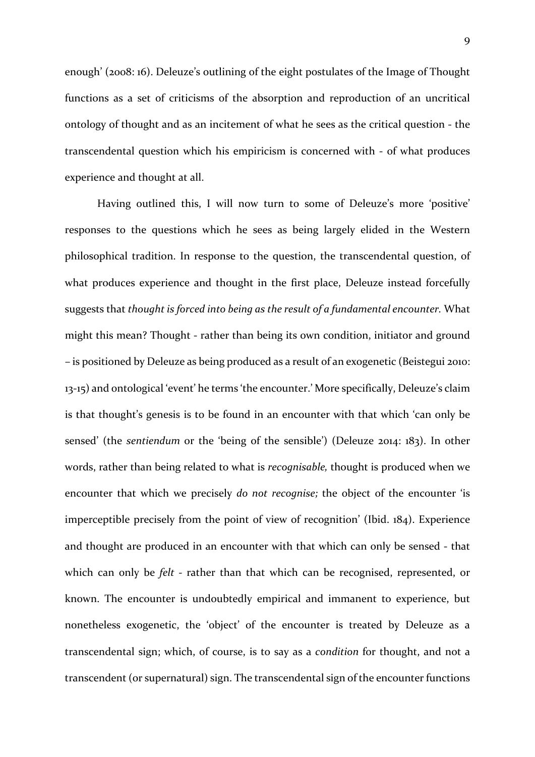enough' (2008: 16). Deleuze's outlining of the eight postulates of the Image of Thought functions as a set of criticisms of the absorption and reproduction of an uncritical ontology of thought and as an incitement of what he sees as the critical question - the transcendental question which his empiricism is concerned with - of what produces experience and thought at all.

Having outlined this, I will now turn to some of Deleuze's more 'positive' responses to the questions which he sees as being largely elided in the Western philosophical tradition. In response to the question, the transcendental question, of what produces experience and thought in the first place, Deleuze instead forcefully suggests that *thought is forced into being as the result of a fundamental encounter.* What might this mean? Thought - rather than being its own condition, initiator and ground – is positioned by Deleuze as being produced as a result of an exogenetic (Beistegui 2010: 13-15) and ontological 'event' he terms 'the encounter.' More specifically, Deleuze's claim is that thought's genesis is to be found in an encounter with that which 'can only be sensed' (the *sentiendum* or the 'being of the sensible') (Deleuze 2014: 183). In other words, rather than being related to what is *recognisable,* thought is produced when we encounter that which we precisely *do not recognise;* the object of the encounter 'is imperceptible precisely from the point of view of recognition' (Ibid. 184). Experience and thought are produced in an encounter with that which can only be sensed - that which can only be *felt -* rather than that which can be recognised, represented, or known. The encounter is undoubtedly empirical and immanent to experience, but nonetheless exogenetic, the 'object' of the encounter is treated by Deleuze as a transcendental sign; which, of course, is to say as a *condition* for thought, and not a transcendent (or supernatural) sign. The transcendental sign of the encounter functions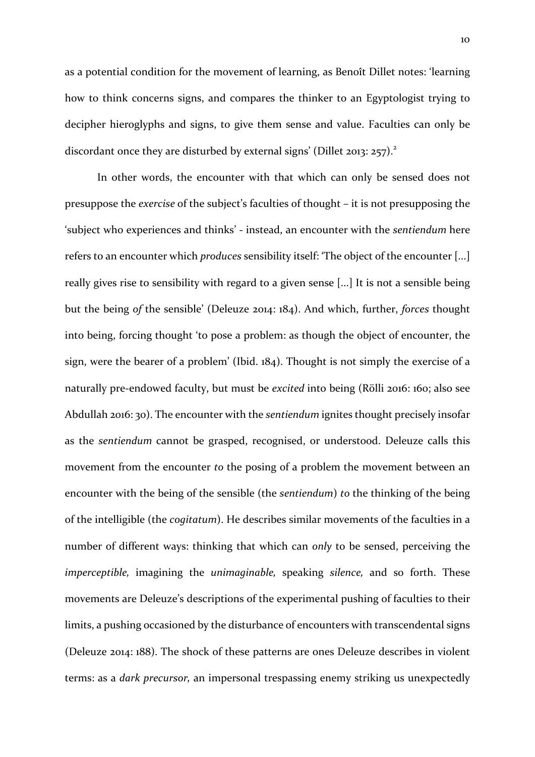as a potential condition for the movement of learning, as Benoît Dillet notes: 'learning how to think concerns signs, and compares the thinker to an Egyptologist trying to decipher hieroglyphs and signs, to give them sense and value. Faculties can only be discordant once they are disturbed by external signs' (Dillet 2013: 257).<sup>2</sup>

In other words, the encounter with that which can only be sensed does not presuppose the *exercise* of the subject's faculties of thought – it is not presupposing the 'subject who experiences and thinks' - instead, an encounter with the *sentiendum* here refers to an encounter which *produces* sensibility itself: 'The object of the encounter [...] really gives rise to sensibility with regard to a given sense [...] It is not a sensible being but the being *of* the sensible' (Deleuze 2014: 184). And which, further, *forces* thought into being, forcing thought 'to pose a problem: as though the object of encounter, the sign, were the bearer of a problem' (Ibid. 184). Thought is not simply the exercise of a naturally pre-endowed faculty, but must be *excited* into being (Rölli 2016: 160; also see Abdullah 2016: 30). The encounter with the *sentiendum* ignites thought precisely insofar as the *sentiendum* cannot be grasped, recognised, or understood. Deleuze calls this movement from the encounter *to* the posing of a problem the movement between an encounter with the being of the sensible (the *sentiendum*) *to* the thinking of the being of the intelligible (the *cogitatum*). He describes similar movements of the faculties in a number of different ways: thinking that which can *only* to be sensed, perceiving the *imperceptible,* imagining the *unimaginable,* speaking *silence,* and so forth. These movements are Deleuze's descriptions of the experimental pushing of faculties to their limits, a pushing occasioned by the disturbance of encounters with transcendental signs (Deleuze 2014: 188). The shock of these patterns are ones Deleuze describes in violent terms: as a *dark precursor,* an impersonal trespassing enemy striking us unexpectedly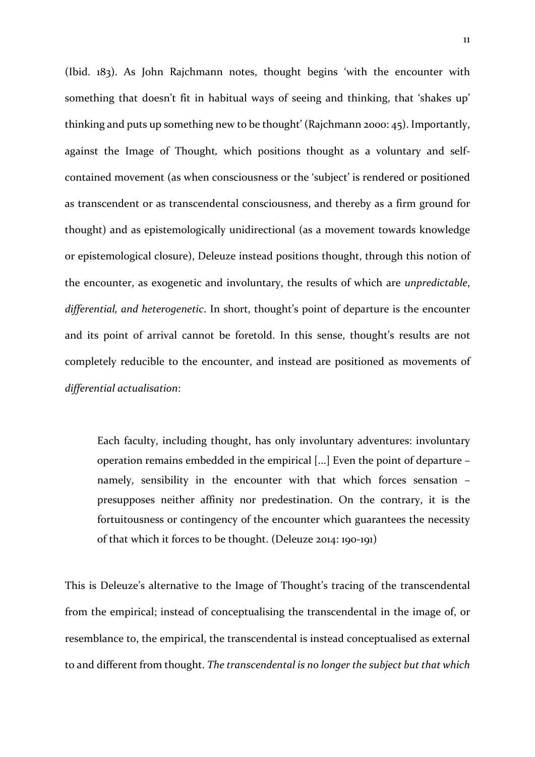(Ibid. 183). As John Rajchmann notes, thought begins 'with the encounter with something that doesn't fit in habitual ways of seeing and thinking, that 'shakes up' thinking and puts up something new to be thought' (Rajchmann 2000: 45). Importantly, against the Image of Thought*,* which positions thought as a voluntary and selfcontained movement (as when consciousness or the 'subject' is rendered or positioned as transcendent or as transcendental consciousness, and thereby as a firm ground for thought) and as epistemologically unidirectional (as a movement towards knowledge or epistemological closure), Deleuze instead positions thought, through this notion of the encounter, as exogenetic and involuntary, the results of which are *unpredictable*, *differential, and heterogenetic*. In short, thought's point of departure is the encounter and its point of arrival cannot be foretold. In this sense, thought's results are not completely reducible to the encounter, and instead are positioned as movements of *differential actualisation*:

Each faculty, including thought, has only involuntary adventures: involuntary operation remains embedded in the empirical [...] Even the point of departure – namely, sensibility in the encounter with that which forces sensation – presupposes neither affinity nor predestination. On the contrary, it is the fortuitousness or contingency of the encounter which guarantees the necessity of that which it forces to be thought. (Deleuze 2014: 190-191)

This is Deleuze's alternative to the Image of Thought's tracing of the transcendental from the empirical; instead of conceptualising the transcendental in the image of, or resemblance to, the empirical, the transcendental is instead conceptualised as external to and different from thought. *The transcendental is no longer the subject but that which*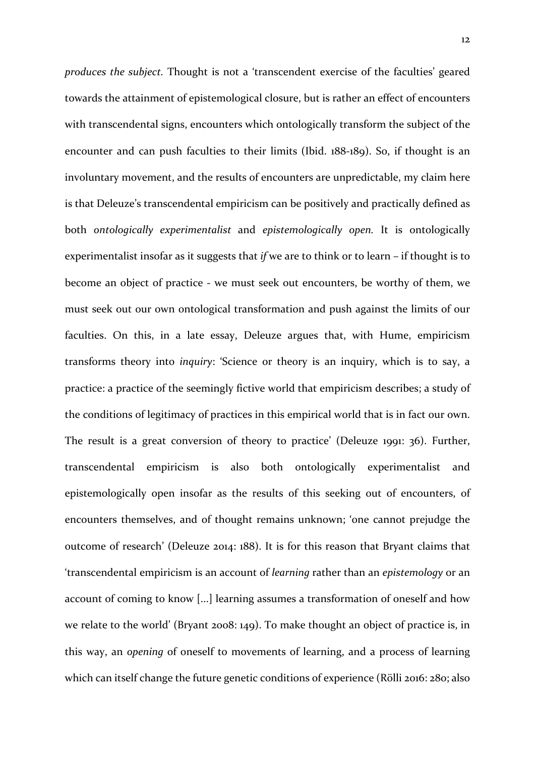*produces the subject.* Thought is not a 'transcendent exercise of the faculties' geared towards the attainment of epistemological closure, but is rather an effect of encounters with transcendental signs, encounters which ontologically transform the subject of the encounter and can push faculties to their limits (Ibid. 188-189). So, if thought is an involuntary movement, and the results of encounters are unpredictable, my claim here is that Deleuze's transcendental empiricism can be positively and practically defined as both *ontologically experimentalist* and *epistemologically open.* It is ontologically experimentalist insofar as it suggests that *if* we are to think or to learn *–* if thought is to become an object of practice - we must seek out encounters, be worthy of them, we must seek out our own ontological transformation and push against the limits of our faculties. On this, in a late essay, Deleuze argues that, with Hume, empiricism transforms theory into *inquiry*: 'Science or theory is an inquiry, which is to say, a practice: a practice of the seemingly fictive world that empiricism describes; a study of the conditions of legitimacy of practices in this empirical world that is in fact our own. The result is a great conversion of theory to practice' (Deleuze 1991: 36). Further, transcendental empiricism is also both ontologically experimentalist and epistemologically open insofar as the results of this seeking out of encounters, of encounters themselves, and of thought remains unknown; 'one cannot prejudge the outcome of research' (Deleuze 2014: 188). It is for this reason that Bryant claims that 'transcendental empiricism is an account of *learning* rather than an *epistemology* or an account of coming to know [...] learning assumes a transformation of oneself and how we relate to the world' (Bryant 2008: 149). To make thought an object of practice is, in this way, an *opening* of oneself to movements of learning, and a process of learning which can itself change the future genetic conditions of experience (Rölli 2016: 280; also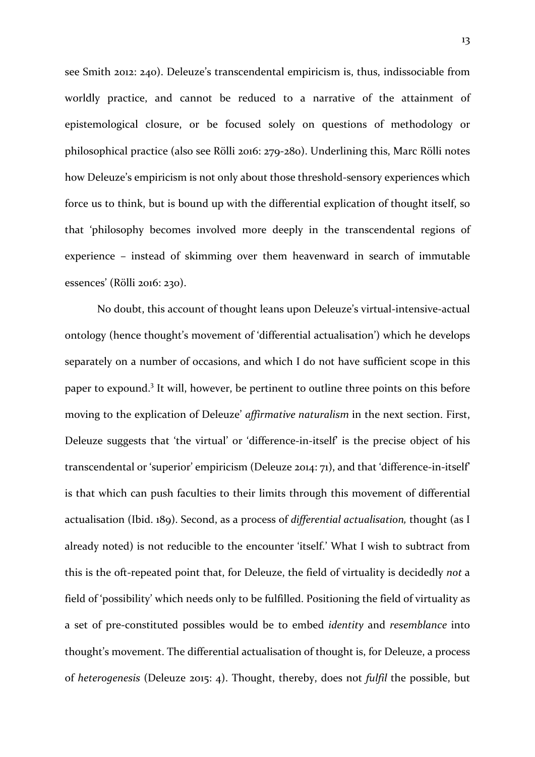see Smith 2012: 240). Deleuze's transcendental empiricism is, thus, indissociable from worldly practice, and cannot be reduced to a narrative of the attainment of epistemological closure, or be focused solely on questions of methodology or philosophical practice (also see Rölli 2016: 279-280). Underlining this, Marc Rölli notes how Deleuze's empiricism is not only about those threshold-sensory experiences which force us to think, but is bound up with the differential explication of thought itself, so that 'philosophy becomes involved more deeply in the transcendental regions of experience – instead of skimming over them heavenward in search of immutable essences' (Rölli 2016: 230).

No doubt, this account of thought leans upon Deleuze's virtual-intensive-actual ontology (hence thought's movement of 'differential actualisation') which he develops separately on a number of occasions, and which I do not have sufficient scope in this paper to expound.<sup>3</sup> It will, however, be pertinent to outline three points on this before moving to the explication of Deleuze' *affirmative naturalism* in the next section. First, Deleuze suggests that 'the virtual' or 'difference-in-itself' is the precise object of his transcendental or 'superior' empiricism (Deleuze 2014: 71), and that 'difference-in-itself' is that which can push faculties to their limits through this movement of differential actualisation (Ibid. 189). Second, as a process of *differential actualisation,* thought (as I already noted) is not reducible to the encounter 'itself.' What I wish to subtract from this is the oft-repeated point that, for Deleuze, the field of virtuality is decidedly *not* a field of 'possibility' which needs only to be fulfilled. Positioning the field of virtuality as a set of pre-constituted possibles would be to embed *identity* and *resemblance* into thought's movement. The differential actualisation of thought is, for Deleuze, a process of *heterogenesis* (Deleuze 2015: 4). Thought, thereby, does not *fulfil* the possible, but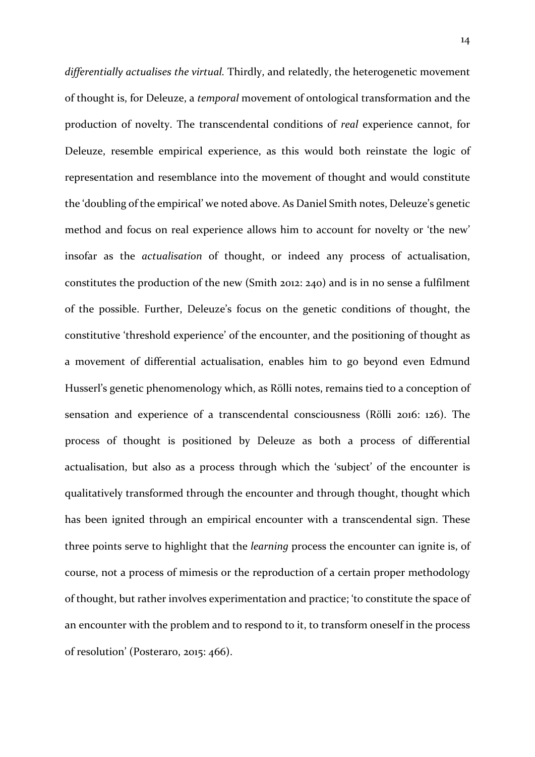*differentially actualises the virtual.* Thirdly, and relatedly, the heterogenetic movement of thought is, for Deleuze, a *temporal* movement of ontological transformation and the production of novelty. The transcendental conditions of *real* experience cannot, for Deleuze, resemble empirical experience, as this would both reinstate the logic of representation and resemblance into the movement of thought and would constitute the 'doubling of the empirical' we noted above. As Daniel Smith notes, Deleuze's genetic method and focus on real experience allows him to account for novelty or 'the new' insofar as the *actualisation* of thought, or indeed any process of actualisation, constitutes the production of the new (Smith 2012: 240) and is in no sense a fulfilment of the possible. Further, Deleuze's focus on the genetic conditions of thought, the constitutive 'threshold experience' of the encounter, and the positioning of thought as a movement of differential actualisation, enables him to go beyond even Edmund Husserl's genetic phenomenology which, as Rölli notes, remains tied to a conception of sensation and experience of a transcendental consciousness (Rölli 2016: 126). The process of thought is positioned by Deleuze as both a process of differential actualisation, but also as a process through which the 'subject' of the encounter is qualitatively transformed through the encounter and through thought, thought which has been ignited through an empirical encounter with a transcendental sign. These three points serve to highlight that the *learning* process the encounter can ignite is, of course, not a process of mimesis or the reproduction of a certain proper methodology of thought, but rather involves experimentation and practice; 'to constitute the space of an encounter with the problem and to respond to it, to transform oneself in the process of resolution' (Posteraro, 2015: 466).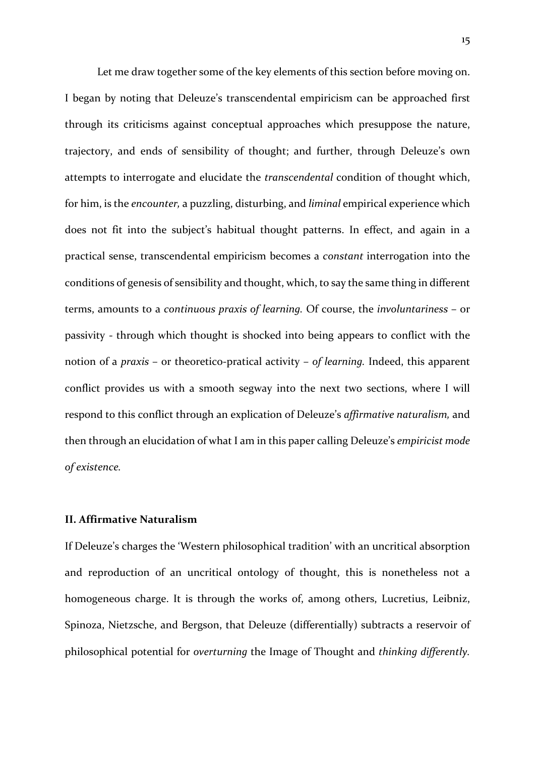Let me draw together some of the key elements of this section before moving on. I began by noting that Deleuze's transcendental empiricism can be approached first through its criticisms against conceptual approaches which presuppose the nature, trajectory, and ends of sensibility of thought; and further, through Deleuze's own attempts to interrogate and elucidate the *transcendental* condition of thought which, for him, is the *encounter,* a puzzling, disturbing, and *liminal* empirical experience which does not fit into the subject's habitual thought patterns. In effect, and again in a practical sense, transcendental empiricism becomes a *constant* interrogation into the conditions of genesis of sensibility and thought, which, to say the same thing in different terms, amounts to a *continuous praxis of learning.* Of course, the *involuntariness* – or passivity - through which thought is shocked into being appears to conflict with the notion of a *praxis* – or theoretico-pratical activity – *of learning.* Indeed, this apparent conflict provides us with a smooth segway into the next two sections, where I will respond to this conflict through an explication of Deleuze's *affirmative naturalism,* and then through an elucidation of what I am in this paper calling Deleuze's *empiricist mode of existence.* 

## **II. Affirmative Naturalism**

If Deleuze's charges the 'Western philosophical tradition' with an uncritical absorption and reproduction of an uncritical ontology of thought, this is nonetheless not a homogeneous charge. It is through the works of, among others, Lucretius, Leibniz, Spinoza, Nietzsche, and Bergson, that Deleuze (differentially) subtracts a reservoir of philosophical potential for *overturning* the Image of Thought and *thinking differently.*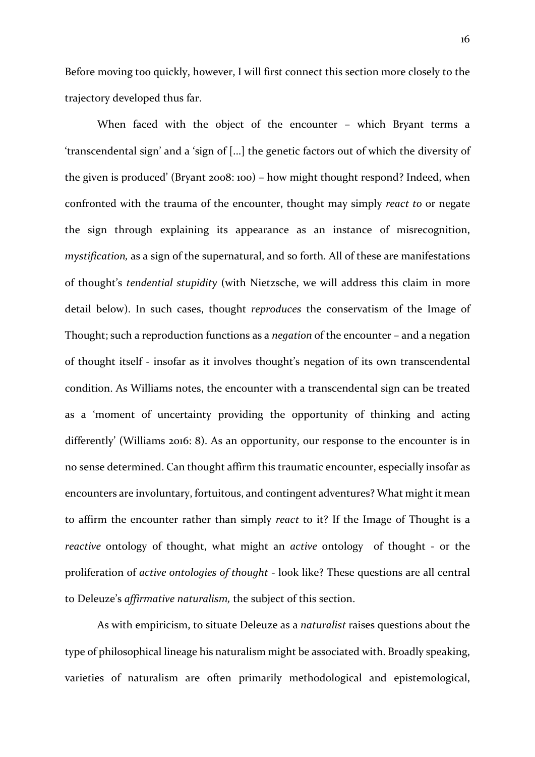Before moving too quickly, however, I will first connect this section more closely to the trajectory developed thus far.

When faced with the object of the encounter – which Bryant terms a 'transcendental sign' and a 'sign of [...] the genetic factors out of which the diversity of the given is produced' (Bryant 2008: 100) – how might thought respond? Indeed, when confronted with the trauma of the encounter, thought may simply *react to* or negate the sign through explaining its appearance as an instance of misrecognition, *mystification,* as a sign of the supernatural, and so forth*.* All of these are manifestations of thought's *tendential stupidity* (with Nietzsche, we will address this claim in more detail below). In such cases, thought *reproduces* the conservatism of the Image of Thought; such a reproduction functions as a *negation* of the encounter – and a negation of thought itself - insofar as it involves thought's negation of its own transcendental condition. As Williams notes, the encounter with a transcendental sign can be treated as a 'moment of uncertainty providing the opportunity of thinking and acting differently' (Williams 2016: 8). As an opportunity, our response to the encounter is in no sense determined. Can thought affirm this traumatic encounter, especially insofar as encounters are involuntary, fortuitous, and contingent adventures? What might it mean to affirm the encounter rather than simply *react* to it? If the Image of Thought is a *reactive* ontology of thought, what might an *active* ontology of thought - or the proliferation of *active ontologies of thought* - look like? These questions are all central to Deleuze's *affirmative naturalism,* the subject of this section.

As with empiricism, to situate Deleuze as a *naturalist* raises questions about the type of philosophical lineage his naturalism might be associated with. Broadly speaking, varieties of naturalism are often primarily methodological and epistemological,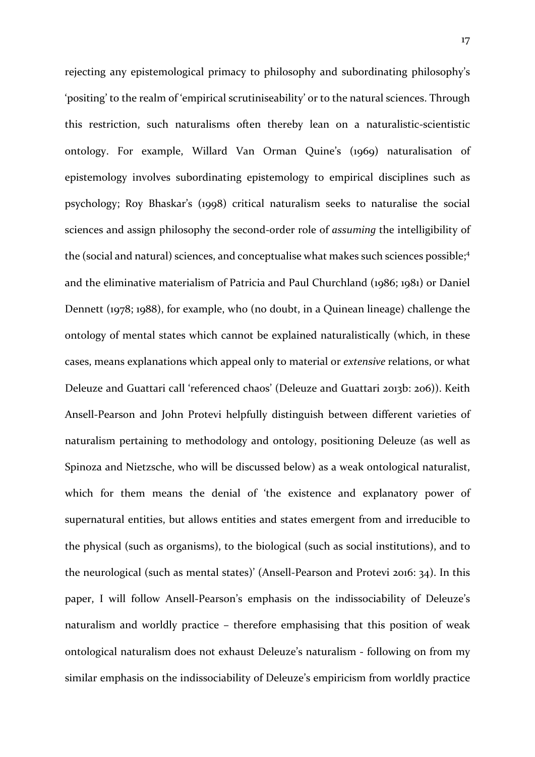rejecting any epistemological primacy to philosophy and subordinating philosophy's 'positing' to the realm of 'empirical scrutiniseability' or to the natural sciences. Through this restriction, such naturalisms often thereby lean on a naturalistic-scientistic ontology. For example, Willard Van Orman Quine's (1969) naturalisation of epistemology involves subordinating epistemology to empirical disciplines such as psychology; Roy Bhaskar's (1998) critical naturalism seeks to naturalise the social sciences and assign philosophy the second-order role of *assuming* the intelligibility of the (social and natural) sciences, and conceptualise what makes such sciences possible; 4 and the eliminative materialism of Patricia and Paul Churchland (1986; 1981) or Daniel Dennett (1978; 1988), for example, who (no doubt, in a Quinean lineage) challenge the ontology of mental states which cannot be explained naturalistically (which, in these cases, means explanations which appeal only to material or *extensive* relations, or what Deleuze and Guattari call 'referenced chaos' (Deleuze and Guattari 2013b: 206)). Keith Ansell-Pearson and John Protevi helpfully distinguish between different varieties of naturalism pertaining to methodology and ontology, positioning Deleuze (as well as Spinoza and Nietzsche, who will be discussed below) as a weak ontological naturalist, which for them means the denial of 'the existence and explanatory power of supernatural entities, but allows entities and states emergent from and irreducible to the physical (such as organisms), to the biological (such as social institutions), and to the neurological (such as mental states)' (Ansell-Pearson and Protevi 2016: 34). In this paper, I will follow Ansell-Pearson's emphasis on the indissociability of Deleuze's naturalism and worldly practice – therefore emphasising that this position of weak ontological naturalism does not exhaust Deleuze's naturalism - following on from my similar emphasis on the indissociability of Deleuze's empiricism from worldly practice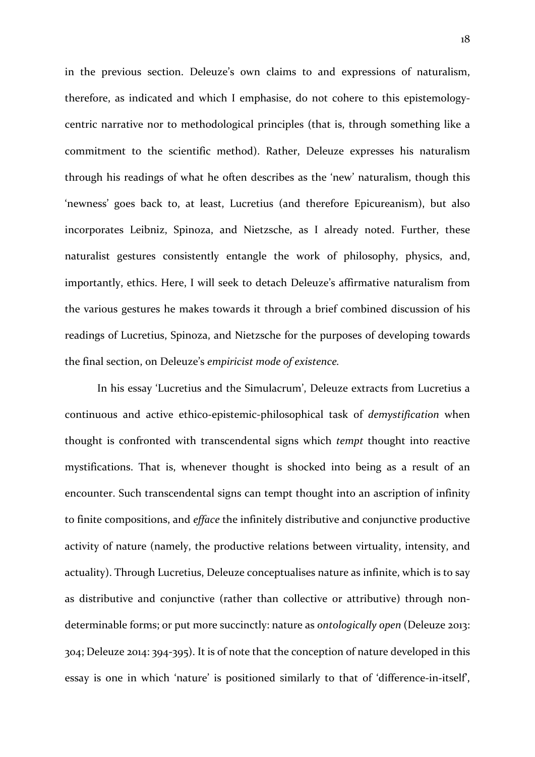in the previous section. Deleuze's own claims to and expressions of naturalism, therefore, as indicated and which I emphasise, do not cohere to this epistemologycentric narrative nor to methodological principles (that is, through something like a commitment to the scientific method). Rather, Deleuze expresses his naturalism through his readings of what he often describes as the 'new' naturalism, though this 'newness' goes back to, at least, Lucretius (and therefore Epicureanism), but also incorporates Leibniz, Spinoza, and Nietzsche, as I already noted. Further, these naturalist gestures consistently entangle the work of philosophy, physics, and, importantly, ethics. Here, I will seek to detach Deleuze's affirmative naturalism from the various gestures he makes towards it through a brief combined discussion of his readings of Lucretius, Spinoza, and Nietzsche for the purposes of developing towards the final section, on Deleuze's *empiricist mode of existence.* 

In his essay 'Lucretius and the Simulacrum', Deleuze extracts from Lucretius a continuous and active ethico-epistemic-philosophical task of *demystification* when thought is confronted with transcendental signs which *tempt* thought into reactive mystifications. That is, whenever thought is shocked into being as a result of an encounter. Such transcendental signs can tempt thought into an ascription of infinity to finite compositions, and *efface* the infinitely distributive and conjunctive productive activity of nature (namely, the productive relations between virtuality, intensity, and actuality). Through Lucretius, Deleuze conceptualises nature as infinite, which is to say as distributive and conjunctive (rather than collective or attributive) through nondeterminable forms; or put more succinctly: nature as *ontologically open* (Deleuze 2013: 304; Deleuze 2014: 394-395). It is of note that the conception of nature developed in this essay is one in which 'nature' is positioned similarly to that of 'difference-in-itself',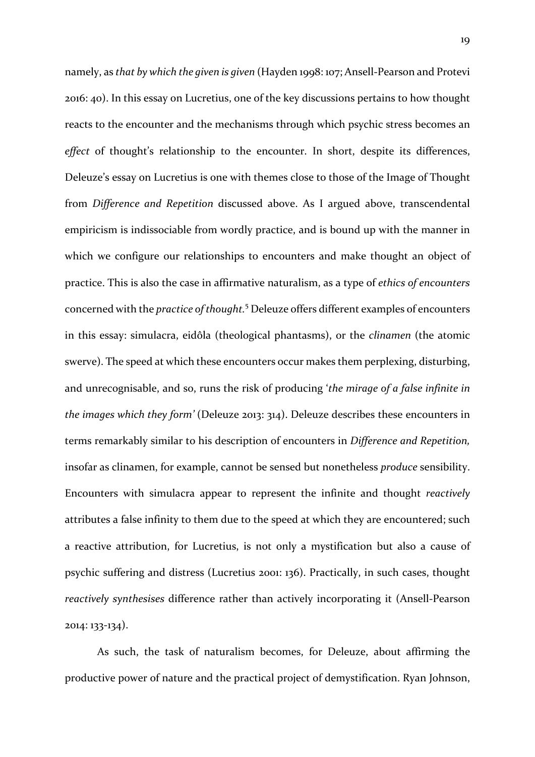namely, as *that by which the given is given* (Hayden 1998: 107; Ansell-Pearson and Protevi 2016: 40). In this essay on Lucretius, one of the key discussions pertains to how thought reacts to the encounter and the mechanisms through which psychic stress becomes an effect of thought's relationship to the encounter. In short, despite its differences, Deleuze's essay on Lucretius is one with themes close to those of the Image of Thought from *Difference and Repetition* discussed above. As I argued above, transcendental empiricism is indissociable from wordly practice, and is bound up with the manner in which we configure our relationships to encounters and make thought an object of practice. This is also the case in affirmative naturalism, as a type of *ethics of encounters* concerned with the *practice of thought.*<sup>5</sup> Deleuze offers different examples of encounters in this essay: simulacra, eidôla (theological phantasms), or the *clinamen* (the atomic swerve). The speed at which these encounters occur makes them perplexing, disturbing, and unrecognisable, and so, runs the risk of producing '*the mirage of a false infinite in the images which they form'* (Deleuze 2013: 314). Deleuze describes these encounters in terms remarkably similar to his description of encounters in *Difference and Repetition,*  insofar as clinamen, for example, cannot be sensed but nonetheless *produce* sensibility. Encounters with simulacra appear to represent the infinite and thought *reactively*  attributes a false infinity to them due to the speed at which they are encountered; such a reactive attribution, for Lucretius, is not only a mystification but also a cause of psychic suffering and distress (Lucretius 2001: 136). Practically, in such cases, thought *reactively synthesises* difference rather than actively incorporating it (Ansell-Pearson 2014: 133-134).

As such, the task of naturalism becomes, for Deleuze, about affirming the productive power of nature and the practical project of demystification. Ryan Johnson,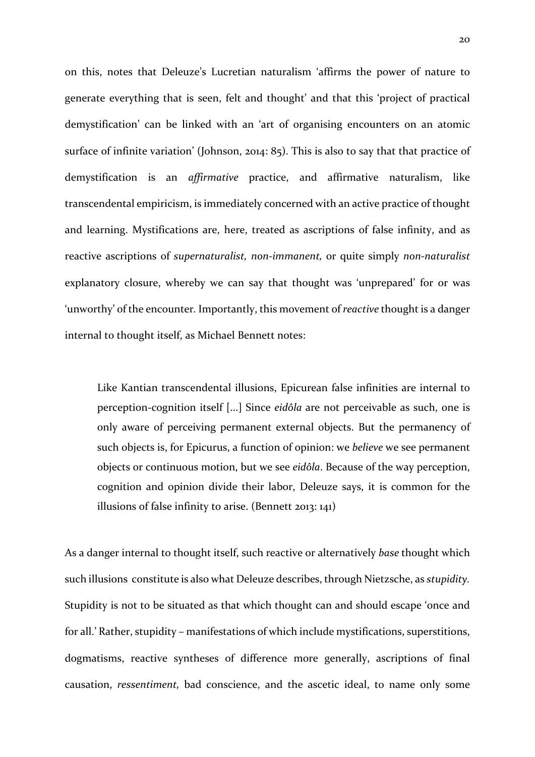on this, notes that Deleuze's Lucretian naturalism 'affirms the power of nature to generate everything that is seen, felt and thought' and that this 'project of practical demystification' can be linked with an 'art of organising encounters on an atomic surface of infinite variation' (Johnson, 2014: 85). This is also to say that that practice of demystification is an *affirmative* practice, and affirmative naturalism, like transcendental empiricism, is immediately concerned with an active practice of thought and learning. Mystifications are, here, treated as ascriptions of false infinity, and as reactive ascriptions of *supernaturalist, non-immanent,* or quite simply *non-naturalist* explanatory closure, whereby we can say that thought was 'unprepared' for or was 'unworthy' of the encounter*.* Importantly, this movement of *reactive* thought is a danger internal to thought itself, as Michael Bennett notes:

Like Kantian transcendental illusions, Epicurean false infinities are internal to perception-cognition itself [...] Since *eidôla* are not perceivable as such, one is only aware of perceiving permanent external objects. But the permanency of such objects is, for Epicurus, a function of opinion: we *believe* we see permanent objects or continuous motion, but we see *eidôla*. Because of the way perception, cognition and opinion divide their labor, Deleuze says, it is common for the illusions of false infinity to arise. (Bennett 2013: 141)

As a danger internal to thought itself, such reactive or alternatively *base* thought which such illusions constitute is also what Deleuze describes, through Nietzsche, as *stupidity.*  Stupidity is not to be situated as that which thought can and should escape 'once and for all.' Rather, stupidity – manifestations of which include mystifications, superstitions, dogmatisms, reactive syntheses of difference more generally, ascriptions of final causation, *ressentiment,* bad conscience, and the ascetic ideal, to name only some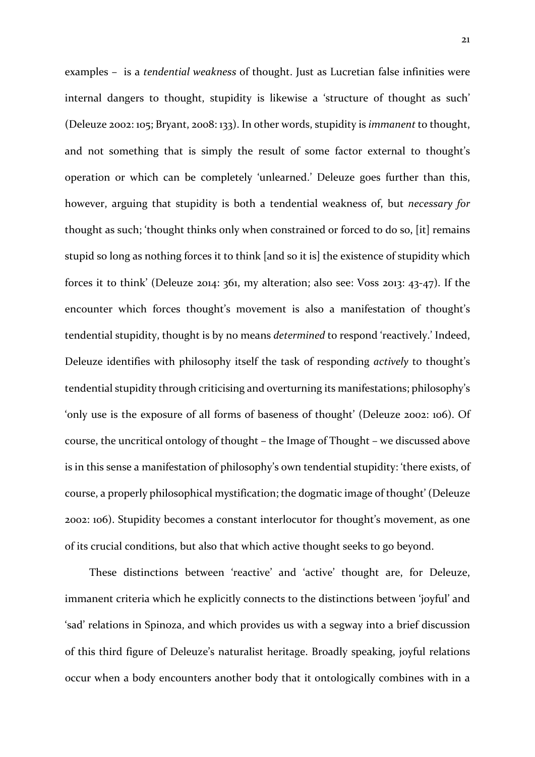examples – is a *tendential weakness* of thought. Just as Lucretian false infinities were internal dangers to thought, stupidity is likewise a 'structure of thought as such' (Deleuze 2002: 105; Bryant, 2008: 133). In other words, stupidity is *immanent* to thought, and not something that is simply the result of some factor external to thought's operation or which can be completely 'unlearned.' Deleuze goes further than this, however, arguing that stupidity is both a tendential weakness of, but *necessary for*  thought as such; 'thought thinks only when constrained or forced to do so, [it] remains stupid so long as nothing forces it to think [and so it is] the existence of stupidity which forces it to think' (Deleuze 2014: 361, my alteration; also see: Voss 2013: 43-47). If the encounter which forces thought's movement is also a manifestation of thought's tendential stupidity, thought is by no means *determined* to respond 'reactively.' Indeed, Deleuze identifies with philosophy itself the task of responding *actively* to thought's tendential stupidity through criticising and overturning its manifestations; philosophy's 'only use is the exposure of all forms of baseness of thought' (Deleuze 2002: 106). Of course, the uncritical ontology of thought – the Image of Thought – we discussed above is in this sense a manifestation of philosophy's own tendential stupidity: 'there exists, of course, a properly philosophical mystification; the dogmatic image of thought' (Deleuze 2002: 106). Stupidity becomes a constant interlocutor for thought's movement, as one of its crucial conditions, but also that which active thought seeks to go beyond.

 These distinctions between 'reactive' and 'active' thought are, for Deleuze, immanent criteria which he explicitly connects to the distinctions between 'joyful' and 'sad' relations in Spinoza, and which provides us with a segway into a brief discussion of this third figure of Deleuze's naturalist heritage. Broadly speaking, joyful relations occur when a body encounters another body that it ontologically combines with in a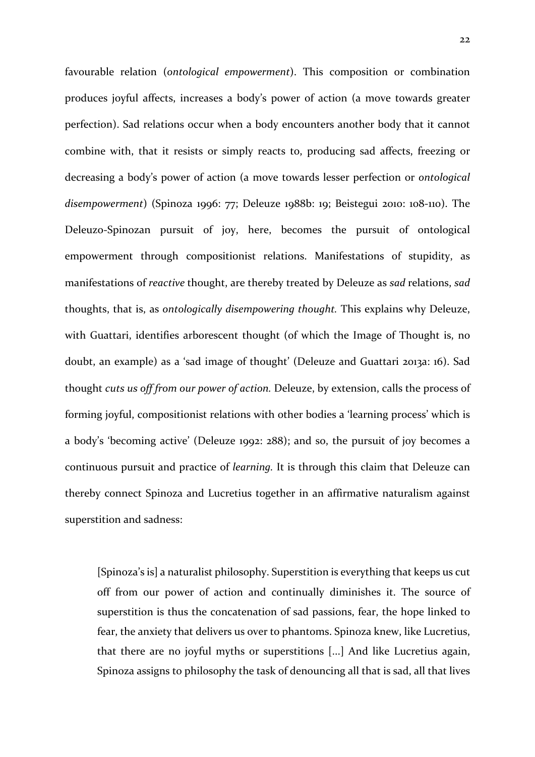favourable relation (*ontological empowerment*). This composition or combination produces joyful affects, increases a body's power of action (a move towards greater perfection). Sad relations occur when a body encounters another body that it cannot combine with, that it resists or simply reacts to, producing sad affects, freezing or decreasing a body's power of action (a move towards lesser perfection or *ontological disempowerment*) (Spinoza 1996: 77; Deleuze 1988b: 19; Beistegui 2010: 108-110). The Deleuzo-Spinozan pursuit of joy, here, becomes the pursuit of ontological empowerment through compositionist relations. Manifestations of stupidity, as manifestations of *reactive* thought, are thereby treated by Deleuze as *sad* relations, *sad*  thoughts, that is, as *ontologically disempowering thought.* This explains why Deleuze, with Guattari, identifies arborescent thought (of which the Image of Thought is, no doubt, an example) as a 'sad image of thought' (Deleuze and Guattari 2013a: 16). Sad thought *cuts us off from our power of action.* Deleuze, by extension, calls the process of forming joyful, compositionist relations with other bodies a 'learning process' which is a body's 'becoming active' (Deleuze 1992: 288); and so, the pursuit of joy becomes a continuous pursuit and practice of *learning.* It is through this claim that Deleuze can thereby connect Spinoza and Lucretius together in an affirmative naturalism against superstition and sadness:

[Spinoza's is] a naturalist philosophy. Superstition is everything that keeps us cut off from our power of action and continually diminishes it. The source of superstition is thus the concatenation of sad passions, fear, the hope linked to fear, the anxiety that delivers us over to phantoms. Spinoza knew, like Lucretius, that there are no joyful myths or superstitions [...] And like Lucretius again, Spinoza assigns to philosophy the task of denouncing all that is sad, all that lives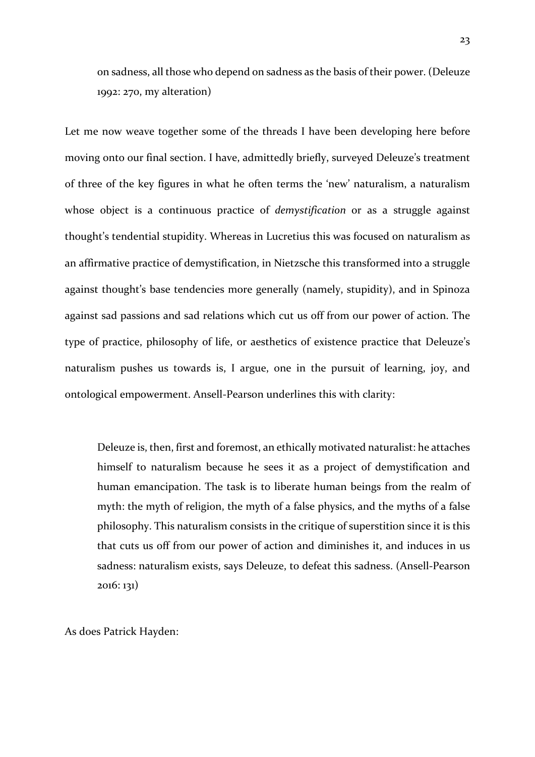on sadness, all those who depend on sadness as the basis of their power. (Deleuze 1992: 270, my alteration)

Let me now weave together some of the threads I have been developing here before moving onto our final section. I have, admittedly briefly, surveyed Deleuze's treatment of three of the key figures in what he often terms the 'new' naturalism, a naturalism whose object is a continuous practice of *demystification* or as a struggle against thought's tendential stupidity. Whereas in Lucretius this was focused on naturalism as an affirmative practice of demystification, in Nietzsche this transformed into a struggle against thought's base tendencies more generally (namely, stupidity), and in Spinoza against sad passions and sad relations which cut us off from our power of action. The type of practice, philosophy of life, or aesthetics of existence practice that Deleuze's naturalism pushes us towards is, I argue, one in the pursuit of learning, joy, and ontological empowerment. Ansell-Pearson underlines this with clarity:

Deleuze is, then, first and foremost, an ethically motivated naturalist: he attaches himself to naturalism because he sees it as a project of demystification and human emancipation. The task is to liberate human beings from the realm of myth: the myth of religion, the myth of a false physics, and the myths of a false philosophy. This naturalism consists in the critique of superstition since it is this that cuts us off from our power of action and diminishes it, and induces in us sadness: naturalism exists, says Deleuze, to defeat this sadness. (Ansell-Pearson 2016: 131)

As does Patrick Hayden: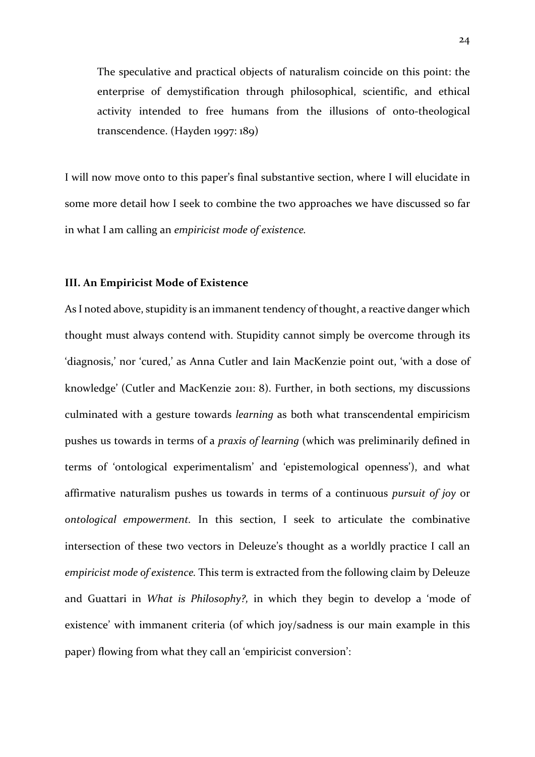The speculative and practical objects of naturalism coincide on this point: the enterprise of demystification through philosophical, scientific, and ethical activity intended to free humans from the illusions of onto-theological transcendence. (Hayden 1997: 189)

I will now move onto to this paper's final substantive section, where I will elucidate in some more detail how I seek to combine the two approaches we have discussed so far in what I am calling an *empiricist mode of existence.* 

### **III. An Empiricist Mode of Existence**

As I noted above, stupidity is an immanent tendency of thought, a reactive danger which thought must always contend with. Stupidity cannot simply be overcome through its 'diagnosis,' nor 'cured,' as Anna Cutler and Iain MacKenzie point out, 'with a dose of knowledge' (Cutler and MacKenzie 2011: 8). Further, in both sections, my discussions culminated with a gesture towards *learning* as both what transcendental empiricism pushes us towards in terms of a *praxis of learning* (which was preliminarily defined in terms of 'ontological experimentalism' and 'epistemological openness'), and what affirmative naturalism pushes us towards in terms of a continuous *pursuit of joy* or *ontological empowerment.* In this section, I seek to articulate the combinative intersection of these two vectors in Deleuze's thought as a worldly practice I call an *empiricist mode of existence.* This term is extracted from the following claim by Deleuze and Guattari in *What is Philosophy?,* in which they begin to develop a 'mode of existence' with immanent criteria (of which joy/sadness is our main example in this paper) flowing from what they call an 'empiricist conversion':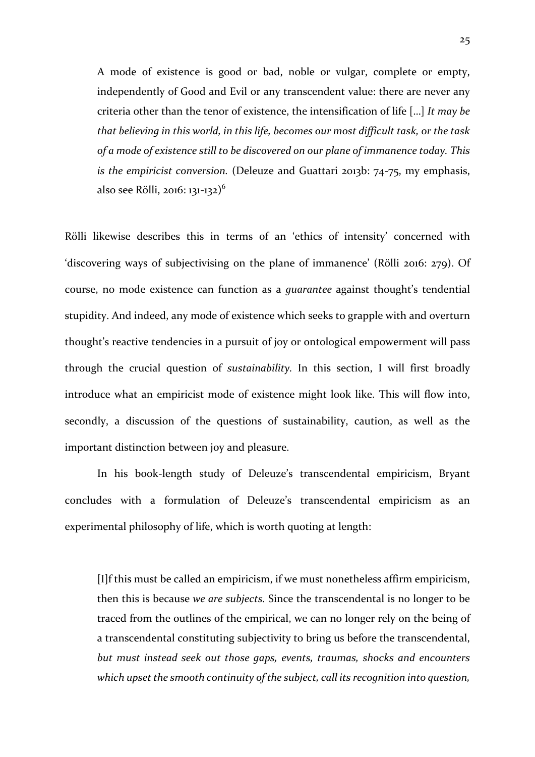A mode of existence is good or bad, noble or vulgar, complete or empty, independently of Good and Evil or any transcendent value: there are never any criteria other than the tenor of existence, the intensification of life […] *It may be that believing in this world, in this life, becomes our most difficult task, or the task of a mode of existence still to be discovered on our plane of immanence today. This is the empiricist conversion.* (Deleuze and Guattari 2013b: 74-75, my emphasis, also see Rölli, 2016: 131-132)<sup>6</sup>

Rölli likewise describes this in terms of an 'ethics of intensity' concerned with 'discovering ways of subjectivising on the plane of immanence' (Rölli 2016: 279). Of course, no mode existence can function as a *guarantee* against thought's tendential stupidity. And indeed, any mode of existence which seeks to grapple with and overturn thought's reactive tendencies in a pursuit of joy or ontological empowerment will pass through the crucial question of *sustainability.* In this section, I will first broadly introduce what an empiricist mode of existence might look like. This will flow into, secondly, a discussion of the questions of sustainability, caution, as well as the important distinction between joy and pleasure.

In his book-length study of Deleuze's transcendental empiricism, Bryant concludes with a formulation of Deleuze's transcendental empiricism as an experimental philosophy of life, which is worth quoting at length:

[I]f this must be called an empiricism, if we must nonetheless affirm empiricism, then this is because *we are subjects.* Since the transcendental is no longer to be traced from the outlines of the empirical, we can no longer rely on the being of a transcendental constituting subjectivity to bring us before the transcendental, *but must instead seek out those gaps, events, traumas, shocks and encounters which upset the smooth continuity of the subject, call its recognition into question,*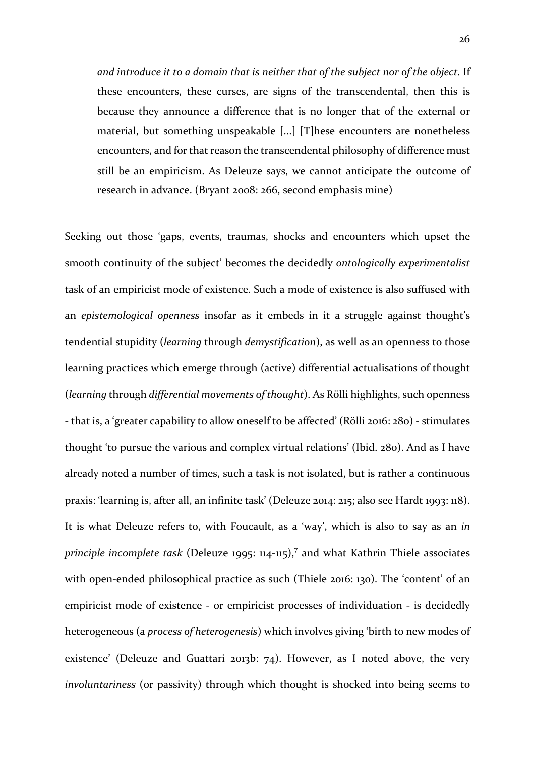*and introduce it to a domain that is neither that of the subject nor of the object.* If these encounters, these curses, are signs of the transcendental, then this is because they announce a difference that is no longer that of the external or material, but something unspeakable [...] [T]hese encounters are nonetheless encounters, and for that reason the transcendental philosophy of difference must still be an empiricism. As Deleuze says, we cannot anticipate the outcome of research in advance. (Bryant 2008: 266, second emphasis mine)

Seeking out those 'gaps, events, traumas, shocks and encounters which upset the smooth continuity of the subject' becomes the decidedly *ontologically experimentalist*  task of an empiricist mode of existence. Such a mode of existence is also suffused with an *epistemological openness* insofar as it embeds in it a struggle against thought's tendential stupidity (*learning* through *demystification*), as well as an openness to those learning practices which emerge through (active) differential actualisations of thought (*learning* through *differential movements of thought*). As Rölli highlights, such openness - that is, a 'greater capability to allow oneself to be affected' (Rölli 2016: 280) - stimulates thought 'to pursue the various and complex virtual relations' (Ibid. 280). And as I have already noted a number of times, such a task is not isolated, but is rather a continuous praxis: 'learning is, after all, an infinite task' (Deleuze 2014: 215; also see Hardt 1993: 118). It is what Deleuze refers to, with Foucault, as a 'way', which is also to say as an *in principle incomplete task* (Deleuze 1995: 114-115), <sup>7</sup> and what Kathrin Thiele associates with open-ended philosophical practice as such (Thiele 2016: 130). The 'content' of an empiricist mode of existence - or empiricist processes of individuation - is decidedly heterogeneous (a *process of heterogenesis*) which involves giving 'birth to new modes of existence' (Deleuze and Guattari 2013b: 74). However, as I noted above, the very *involuntariness* (or passivity) through which thought is shocked into being seems to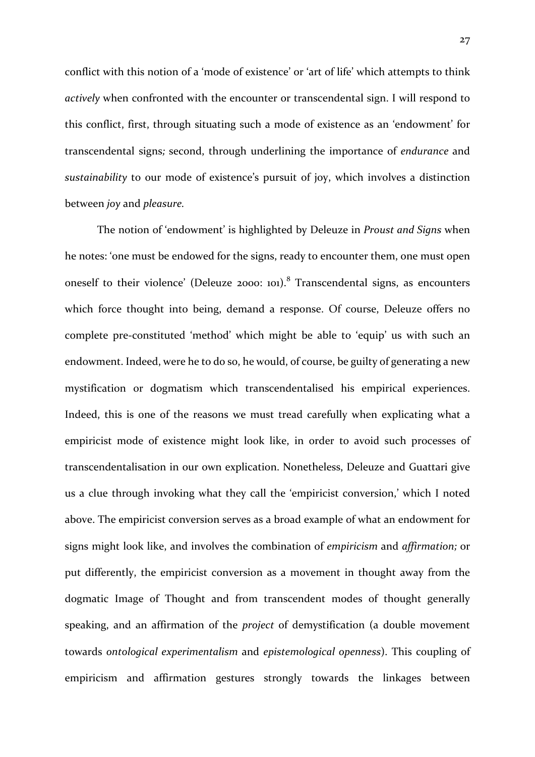conflict with this notion of a 'mode of existence' or 'art of life' which attempts to think *actively* when confronted with the encounter or transcendental sign. I will respond to this conflict, first, through situating such a mode of existence as an 'endowment' for transcendental signs*;* second, through underlining the importance of *endurance* and *sustainability* to our mode of existence's pursuit of joy, which involves a distinction between *joy* and *pleasure.*

The notion of 'endowment' is highlighted by Deleuze in *Proust and Signs* when he notes: 'one must be endowed for the signs, ready to encounter them, one must open oneself to their violence' (Deleuze 2000: 101).<sup>8</sup> Transcendental signs, as encounters which force thought into being, demand a response. Of course, Deleuze offers no complete pre-constituted 'method' which might be able to 'equip' us with such an endowment. Indeed, were he to do so, he would, of course, be guilty of generating a new mystification or dogmatism which transcendentalised his empirical experiences. Indeed, this is one of the reasons we must tread carefully when explicating what a empiricist mode of existence might look like, in order to avoid such processes of transcendentalisation in our own explication. Nonetheless, Deleuze and Guattari give us a clue through invoking what they call the 'empiricist conversion,' which I noted above. The empiricist conversion serves as a broad example of what an endowment for signs might look like, and involves the combination of *empiricism* and *affirmation;* or put differently, the empiricist conversion as a movement in thought away from the dogmatic Image of Thought and from transcendent modes of thought generally speaking, and an affirmation of the *project* of demystification (a double movement towards *ontological experimentalism* and *epistemological openness*). This coupling of empiricism and affirmation gestures strongly towards the linkages between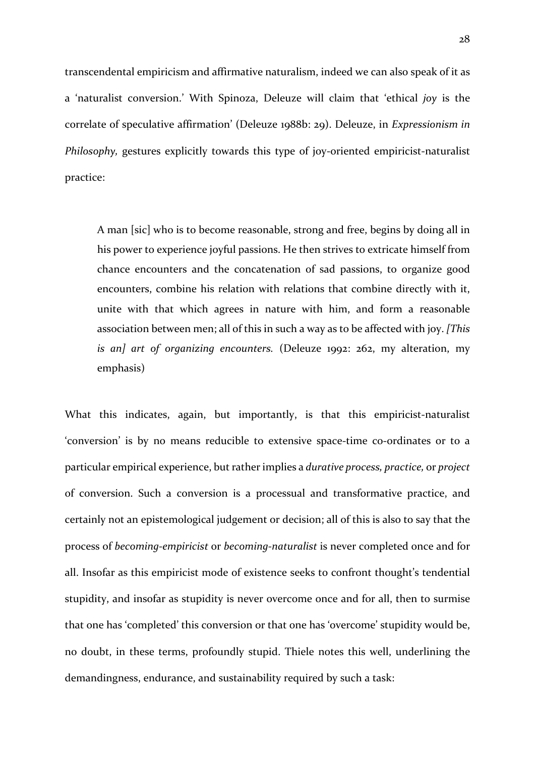transcendental empiricism and affirmative naturalism, indeed we can also speak of it as a 'naturalist conversion.' With Spinoza, Deleuze will claim that 'ethical *joy* is the correlate of speculative affirmation' (Deleuze 1988b: 29). Deleuze, in *Expressionism in Philosophy,* gestures explicitly towards this type of joy-oriented empiricist-naturalist practice:

A man [sic] who is to become reasonable, strong and free, begins by doing all in his power to experience joyful passions. He then strives to extricate himself from chance encounters and the concatenation of sad passions, to organize good encounters, combine his relation with relations that combine directly with it, unite with that which agrees in nature with him, and form a reasonable association between men; all of this in such a way as to be affected with joy. *[This is an] art of organizing encounters.* (Deleuze 1992: 262, my alteration, my emphasis)

What this indicates, again, but importantly, is that this empiricist-naturalist 'conversion' is by no means reducible to extensive space-time co-ordinates or to a particular empirical experience, but rather implies a *durative process, practice,* or *project*  of conversion. Such a conversion is a processual and transformative practice, and certainly not an epistemological judgement or decision; all of this is also to say that the process of *becoming-empiricist* or *becoming-naturalist* is never completed once and for all. Insofar as this empiricist mode of existence seeks to confront thought's tendential stupidity, and insofar as stupidity is never overcome once and for all, then to surmise that one has 'completed' this conversion or that one has 'overcome' stupidity would be, no doubt, in these terms, profoundly stupid. Thiele notes this well, underlining the demandingness, endurance, and sustainability required by such a task: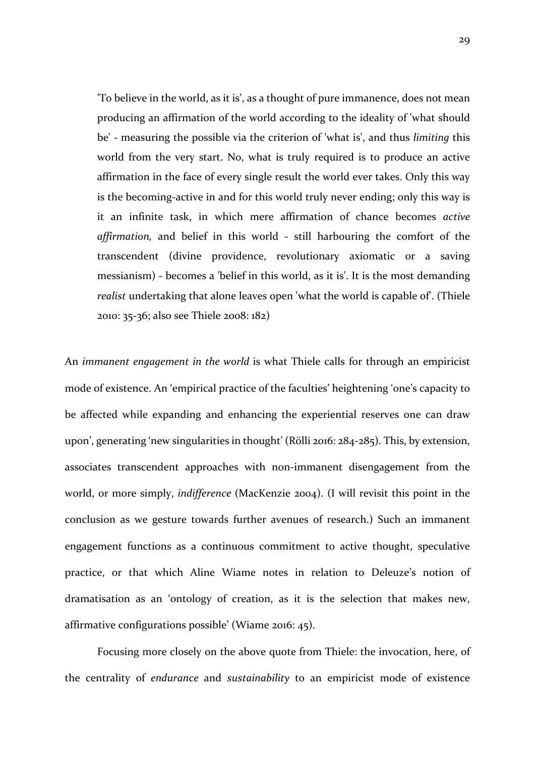'To believe in the world, as it is', as a thought of pure immanence, does not mean producing an affirmation of the world according to the ideality of 'what should be' - measuring the possible via the criterion of 'what is', and thus *limiting* this world from the very start. No, what is truly required is to produce an active affirmation in the face of every single result the world ever takes. Only this way is the becoming-active in and for this world truly never ending; only this way is it an infinite task, in which mere affirmation of chance becomes *active affirmation,* and belief in this world - still harbouring the comfort of the transcendent (divine providence, revolutionary axiomatic or a saving messianism) - becomes a 'belief in this world, as it is'. It is the most demanding *realist* undertaking that alone leaves open 'what the world is capable of. (Thiele 2010: 35-36; also see Thiele 2008: 182)

An *immanent engagement in the world* is what Thiele calls for through an empiricist mode of existence. An 'empirical practice of the faculties' heightening 'one's capacity to be affected while expanding and enhancing the experiential reserves one can draw upon', generating 'new singularities in thought' (Rölli 2016: 284-285). This, by extension, associates transcendent approaches with non-immanent disengagement from the world, or more simply, *indifference* (MacKenzie 2004). (I will revisit this point in the conclusion as we gesture towards further avenues of research.) Such an immanent engagement functions as a continuous commitment to active thought, speculative practice, or that which Aline Wiame notes in relation to Deleuze's notion of dramatisation as an 'ontology of creation, as it is the selection that makes new, affirmative configurations possible' (Wiame 2016: 45).

Focusing more closely on the above quote from Thiele: the invocation, here, of the centrality of *endurance* and *sustainability* to an empiricist mode of existence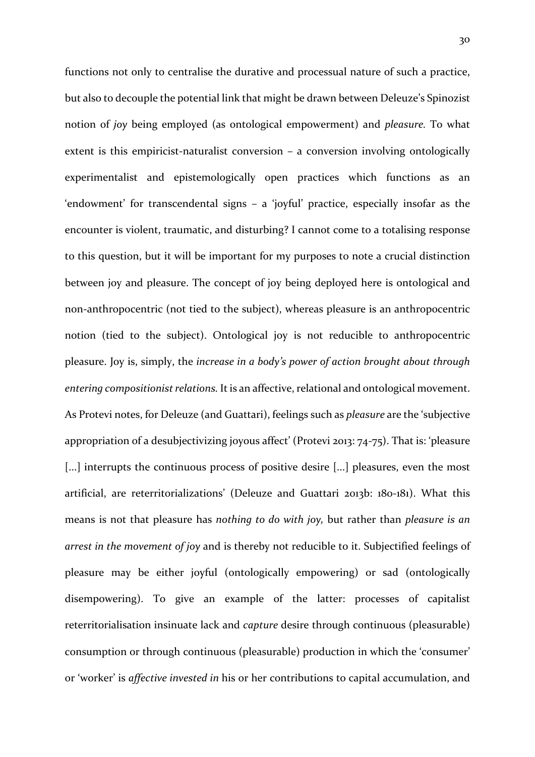functions not only to centralise the durative and processual nature of such a practice, but also to decouple the potential link that might be drawn between Deleuze's Spinozist notion of *joy* being employed (as ontological empowerment) and *pleasure.* To what extent is this empiricist-naturalist conversion – a conversion involving ontologically experimentalist and epistemologically open practices which functions as an 'endowment' for transcendental signs – a 'joyful' practice, especially insofar as the encounter is violent, traumatic, and disturbing? I cannot come to a totalising response to this question, but it will be important for my purposes to note a crucial distinction between joy and pleasure. The concept of joy being deployed here is ontological and non-anthropocentric (not tied to the subject), whereas pleasure is an anthropocentric notion (tied to the subject). Ontological joy is not reducible to anthropocentric pleasure. Joy is, simply, the *increase in a body's power of action brought about through entering compositionist relations.* It is an affective, relational and ontological movement. As Protevi notes, for Deleuze (and Guattari), feelings such as *pleasure* are the 'subjective appropriation of a desubjectivizing joyous affect' (Protevi 2013: 74-75). That is: 'pleasure [...] interrupts the continuous process of positive desire [...] pleasures, even the most artificial, are reterritorializations' (Deleuze and Guattari 2013b: 180-181). What this means is not that pleasure has *nothing to do with joy,* but rather than *pleasure is an arrest in the movement of joy* and is thereby not reducible to it. Subjectified feelings of pleasure may be either joyful (ontologically empowering) or sad (ontologically disempowering). To give an example of the latter: processes of capitalist reterritorialisation insinuate lack and *capture* desire through continuous (pleasurable) consumption or through continuous (pleasurable) production in which the 'consumer' or 'worker' is *affective invested in* his or her contributions to capital accumulation, and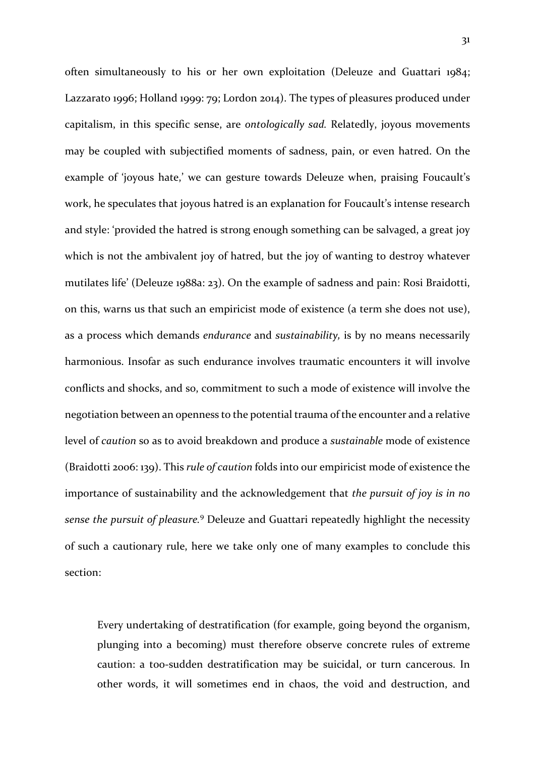often simultaneously to his or her own exploitation (Deleuze and Guattari 1984; Lazzarato 1996; Holland 1999: 79; Lordon 2014). The types of pleasures produced under capitalism, in this specific sense, are *ontologically sad.* Relatedly, joyous movements may be coupled with subjectified moments of sadness, pain, or even hatred. On the example of 'joyous hate,' we can gesture towards Deleuze when, praising Foucault's work, he speculates that joyous hatred is an explanation for Foucault's intense research and style: 'provided the hatred is strong enough something can be salvaged, a great joy which is not the ambivalent joy of hatred, but the joy of wanting to destroy whatever mutilates life' (Deleuze 1988a: 23). On the example of sadness and pain: Rosi Braidotti, on this, warns us that such an empiricist mode of existence (a term she does not use), as a process which demands *endurance* and *sustainability,* is by no means necessarily harmonious. Insofar as such endurance involves traumatic encounters it will involve conflicts and shocks, and so, commitment to such a mode of existence will involve the negotiation between an openness to the potential trauma of the encounter and a relative level of *caution* so as to avoid breakdown and produce a *sustainable* mode of existence (Braidotti 2006: 139). This *rule of caution* folds into our empiricist mode of existence the importance of sustainability and the acknowledgement that *the pursuit of joy is in no sense the pursuit of pleasure.*<sup>9</sup> Deleuze and Guattari repeatedly highlight the necessity of such a cautionary rule, here we take only one of many examples to conclude this section:

Every undertaking of destratification (for example, going beyond the organism, plunging into a becoming) must therefore observe concrete rules of extreme caution: a too-sudden destratification may be suicidal, or turn cancerous. In other words, it will sometimes end in chaos, the void and destruction, and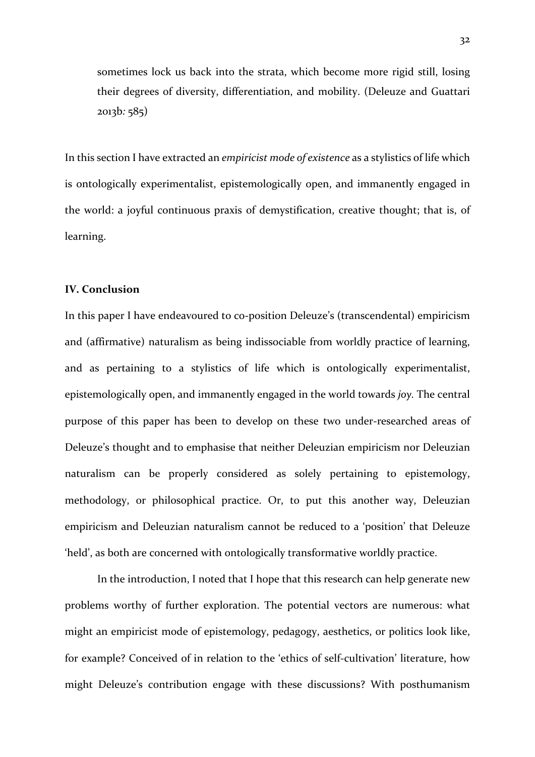sometimes lock us back into the strata, which become more rigid still, losing their degrees of diversity, differentiation, and mobility. (Deleuze and Guattari 2013b*:* 585)

In this section I have extracted an *empiricist mode of existence* as a stylistics of life which is ontologically experimentalist, epistemologically open, and immanently engaged in the world: a joyful continuous praxis of demystification, creative thought; that is, of learning.

## **IV. Conclusion**

In this paper I have endeavoured to co-position Deleuze's (transcendental) empiricism and (affirmative) naturalism as being indissociable from worldly practice of learning, and as pertaining to a stylistics of life which is ontologically experimentalist, epistemologically open, and immanently engaged in the world towards *joy.* The central purpose of this paper has been to develop on these two under-researched areas of Deleuze's thought and to emphasise that neither Deleuzian empiricism nor Deleuzian naturalism can be properly considered as solely pertaining to epistemology, methodology, or philosophical practice. Or, to put this another way, Deleuzian empiricism and Deleuzian naturalism cannot be reduced to a 'position' that Deleuze 'held', as both are concerned with ontologically transformative worldly practice.

In the introduction, I noted that I hope that this research can help generate new problems worthy of further exploration. The potential vectors are numerous: what might an empiricist mode of epistemology, pedagogy, aesthetics, or politics look like, for example? Conceived of in relation to the 'ethics of self-cultivation' literature, how might Deleuze's contribution engage with these discussions? With posthumanism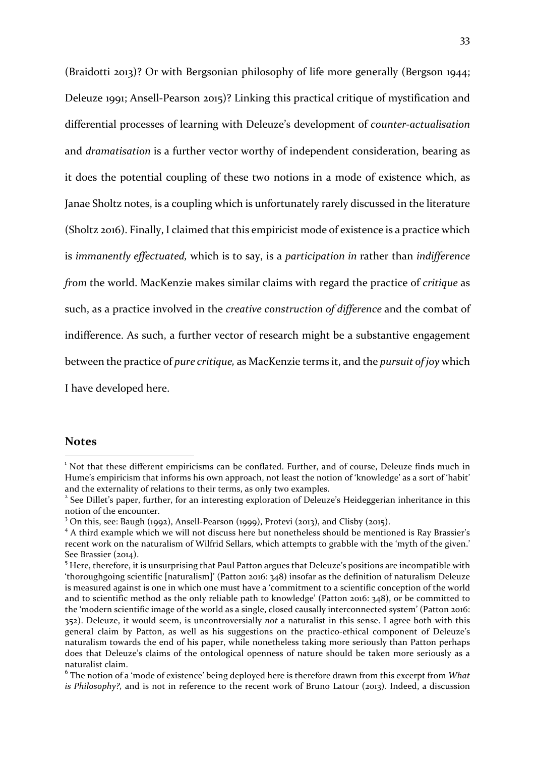(Braidotti 2013)? Or with Bergsonian philosophy of life more generally (Bergson 1944; Deleuze 1991; Ansell-Pearson 2015)? Linking this practical critique of mystification and differential processes of learning with Deleuze's development of *counter-actualisation*  and *dramatisation* is a further vector worthy of independent consideration, bearing as it does the potential coupling of these two notions in a mode of existence which, as Janae Sholtz notes, is a coupling which is unfortunately rarely discussed in the literature (Sholtz 2016). Finally, I claimed that this empiricist mode of existence is a practice which is *immanently effectuated,* which is to say, is a *participation in* rather than *indifference from* the world. MacKenzie makes similar claims with regard the practice of *critique* as such, as a practice involved in the *creative construction of difference* and the combat of indifference. As such, a further vector of research might be a substantive engagement between the practice of *pure critique,* as MacKenzie terms it, and the *pursuit of joy* which I have developed here.

#### **Notes**

 

<sup>&</sup>lt;sup>1</sup> Not that these different empiricisms can be conflated. Further, and of course, Deleuze finds much in Hume's empiricism that informs his own approach, not least the notion of 'knowledge' as a sort of 'habit' and the externality of relations to their terms, as only two examples.

<sup>&</sup>lt;sup>2</sup> See Dillet's paper, further, for an interesting exploration of Deleuze's Heideggerian inheritance in this notion of the encounter.

<sup>&</sup>lt;sup>3</sup> On this, see: Baugh (1992), Ansell-Pearson (1999), Protevi (2013), and Clisby (2015).<br><sup>4</sup> A third example which we will not discuss here but nonetheless should be mentioned is Ray Brassier's recent work on the naturalism of Wilfrid Sellars, which attempts to grabble with the 'myth of the given.' See Brassier (2014).<br><sup>5</sup> Here, therefore, it is unsurprising that Paul Patton argues that Deleuze's positions are incompatible with

<sup>&#</sup>x27;thoroughgoing scientific [naturalism]' (Patton 2016: 348) insofar as the definition of naturalism Deleuze is measured against is one in which one must have a 'commitment to a scientific conception of the world and to scientific method as the only reliable path to knowledge' (Patton 2016: 348), or be committed to the 'modern scientific image of the world as a single, closed causally interconnected system' (Patton 2016: 352). Deleuze, it would seem, is uncontroversially *not* a naturalist in this sense. I agree both with this general claim by Patton, as well as his suggestions on the practico-ethical component of Deleuze's naturalism towards the end of his paper, while nonetheless taking more seriously than Patton perhaps does that Deleuze's claims of the ontological openness of nature should be taken more seriously as a naturalist claim.

<sup>6</sup> The notion of a 'mode of existence' being deployed here is therefore drawn from this excerpt from *What is Philosophy?,* and is not in reference to the recent work of Bruno Latour (2013). Indeed, a discussion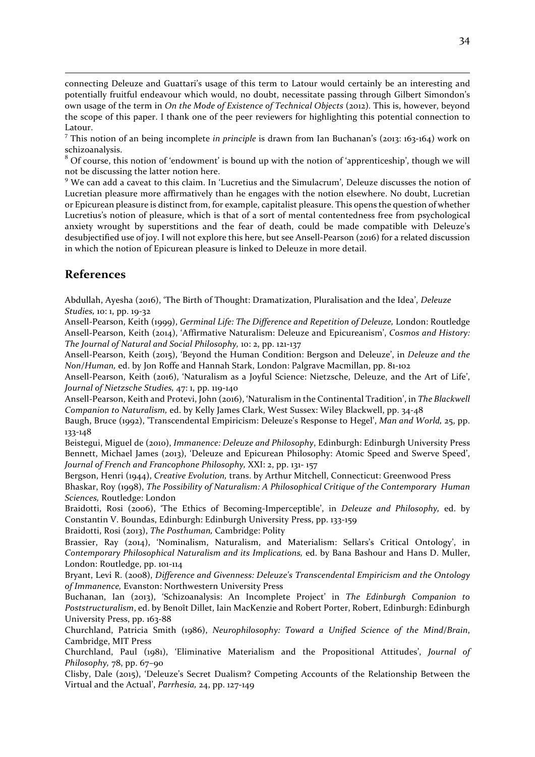connecting Deleuze and Guattari's usage of this term to Latour would certainly be an interesting and potentially fruitful endeavour which would, no doubt, necessitate passing through Gilbert Simondon's own usage of the term in *On the Mode of Existence of Technical Objects* (2012)*.* This is, however, beyond the scope of this paper. I thank one of the peer reviewers for highlighting this potential connection to Latour.

<u> Andreas Andrews Andrews Andrews Andrews Andrews Andrews Andrews Andrews Andrews Andrews Andrews Andrews Andr</u>

<sup>7</sup> This notion of an being incomplete *in principle* is drawn from Ian Buchanan's (2013: 163-164) work on schizoanalysis.

 $8$  Of course, this notion of 'endowment' is bound up with the notion of 'apprenticeship', though we will not be discussing the latter notion here.

<sup>9</sup> We can add a caveat to this claim. In 'Lucretius and the Simulacrum', Deleuze discusses the notion of Lucretian pleasure more affirmatively than he engages with the notion elsewhere. No doubt, Lucretian or Epicurean pleasure is distinct from, for example, capitalist pleasure. This opens the question of whether Lucretius's notion of pleasure, which is that of a sort of mental contentedness free from psychological anxiety wrought by superstitions and the fear of death, could be made compatible with Deleuze's desubjectified use of joy. I will not explore this here, but see Ansell-Pearson (2016) for a related discussion in which the notion of Epicurean pleasure is linked to Deleuze in more detail.

## **References**

Abdullah, Ayesha (2016), 'The Birth of Thought: Dramatization, Pluralisation and the Idea', *Deleuze Studies,* 10: 1, pp. 19-32

Ansell-Pearson, Keith (1999), *Germinal Life: The Difference and Repetition of Deleuze,* London: Routledge Ansell-Pearson, Keith (2014), 'Affirmative Naturalism: Deleuze and Epicureanism', *Cosmos and History: The Journal of Natural and Social Philosophy,* 10: 2, pp. 121-137

Ansell-Pearson, Keith (2015), 'Beyond the Human Condition: Bergson and Deleuze', in *Deleuze and the Non/Human,* ed. by Jon Roffe and Hannah Stark, London: Palgrave Macmillan, pp. 81-102

Ansell-Pearson, Keith (2016), 'Naturalism as a Joyful Science: Nietzsche, Deleuze, and the Art of Life', *Journal of Nietzsche Studies,* 47: 1, pp. 119-140

Ansell-Pearson, Keith and Protevi, John (2016), 'Naturalism in the Continental Tradition', in *The Blackwell Companion to Naturalism,* ed. by Kelly James Clark, West Sussex: Wiley Blackwell, pp. 34-48

Baugh, Bruce (1992), 'Transcendental Empiricism: Deleuze's Response to Hegel', *Man and World,* 25, pp. 133-148

Beistegui, Miguel de (2010), *Immanence: Deleuze and Philosophy*, Edinburgh: Edinburgh University Press Bennett, Michael James (2013), 'Deleuze and Epicurean Philosophy: Atomic Speed and Swerve Speed', *Journal of French and Francophone Philosophy,* XXI: 2, pp. 131- 157

Bergson, Henri (1944), *Creative Evolution,* trans. by Arthur Mitchell, Connecticut: Greenwood Press

Bhaskar, Roy (1998), *The Possibility of Naturalism: A Philosophical Critique of the Contemporary Human Sciences,* Routledge: London

Braidotti, Rosi (2006), 'The Ethics of Becoming-Imperceptible', in *Deleuze and Philosophy,* ed. by Constantin V. Boundas, Edinburgh: Edinburgh University Press, pp. 133-159

Braidotti, Rosi (2013), *The Posthuman,* Cambridge: Polity

Brassier, Ray (2014), 'Nominalism, Naturalism, and Materialism: Sellars's Critical Ontology', in *Contemporary Philosophical Naturalism and its Implications,* ed. by Bana Bashour and Hans D. Muller, London: Routledge, pp. 101-114

Bryant, Levi R. (2008), *Difference and Givenness: Deleuze's Transcendental Empiricism and the Ontology of Immanence,* Evanston: Northwestern University Press

Buchanan, Ian (2013), 'Schizoanalysis: An Incomplete Project' in *The Edinburgh Companion to Poststructuralism*, ed. by Benoît Dillet, Iain MacKenzie and Robert Porter, Robert, Edinburgh: Edinburgh University Press, pp. 163-88

Churchland, Patricia Smith (1986), *Neurophilosophy: Toward a Unified Science of the Mind/Brain*, Cambridge, MIT Press

Churchland, Paul (1981), 'Eliminative Materialism and the Propositional Attitudes', *Journal of Philosophy,* 78, pp. 67–90

Clisby, Dale (2015), 'Deleuze's Secret Dualism? Competing Accounts of the Relationship Between the Virtual and the Actual', *Parrhesia,* 24, pp. 127-149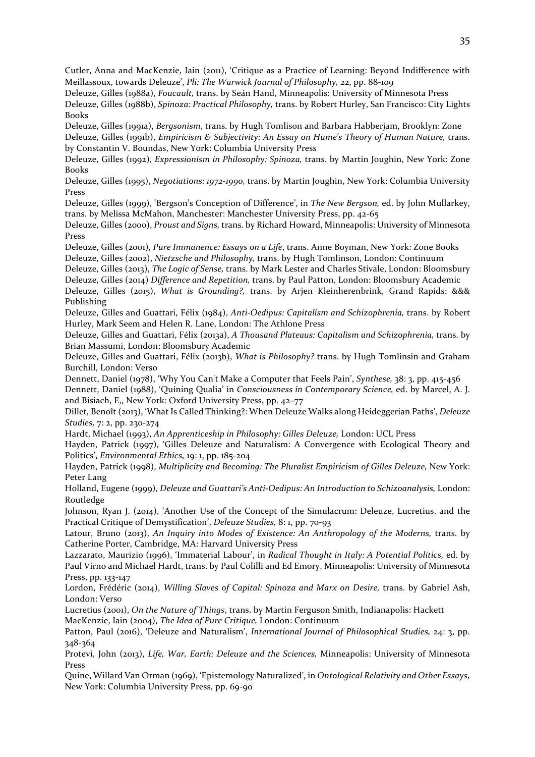Cutler, Anna and MacKenzie, Iain (2011), 'Critique as a Practice of Learning: Beyond Indifference with Meillassoux, towards Deleuze', *Pli: The Warwick Journal of Philosophy,* 22, pp. 88-109

Deleuze, Gilles (1988a), *Foucault,* trans. by Seán Hand, Minneapolis: University of Minnesota Press Deleuze, Gilles (1988b), *Spinoza: Practical Philosophy,* trans. by Robert Hurley, San Francisco: City Lights Books

Deleuze, Gilles (1991a), *Bergsonism*, trans. by Hugh Tomlison and Barbara Habberjam, Brooklyn: Zone Deleuze, Gilles (1991b), *Empiricism & Subjectivity: An Essay on Hume's Theory of Human Nature,* trans. by Constantin V. Boundas, New York: Columbia University Press

Deleuze, Gilles (1992), *Expressionism in Philosophy: Spinoza,* trans. by Martin Joughin, New York: Zone Books

Deleuze, Gilles (1995), *Negotiations: 1972-1990,* trans. by Martin Joughin, New York: Columbia University Press

Deleuze, Gilles (1999), 'Bergson's Conception of Difference', in *The New Bergson,* ed. by John Mullarkey, trans. by Melissa McMahon, Manchester: Manchester University Press, pp. 42-65

Deleuze, Gilles (2000), *Proust and Signs,* trans. by Richard Howard, Minneapolis: University of Minnesota Press

Deleuze, Gilles (2001), *Pure Immanence: Essays on a Life*, trans. Anne Boyman, New York: Zone Books Deleuze, Gilles (2002), *Nietzsche and Philosophy,* trans. by Hugh Tomlinson, London: Continuum

Deleuze, Gilles (2013), *The Logic of Sense,* trans. by Mark Lester and Charles Stivale, London: Bloomsbury Deleuze, Gilles (2014) *Difference and Repetition,* trans. by Paul Patton, London: Bloomsbury Academic

Deleuze, Gilles (2015), *What is Grounding?,* trans. by Arjen Kleinherenbrink, Grand Rapids: &&& Publishing

Deleuze, Gilles and Guattari, Félix (1984), *Anti-Oedipus: Capitalism and Schizophrenia,* trans. by Robert Hurley, Mark Seem and Helen R. Lane, London: The Athlone Press

Deleuze, Gilles and Guattari, Félix (2013a), *A Thousand Plateaus: Capitalism and Schizophrenia,* trans. by Brian Massumi, London: Bloomsbury Academic

Deleuze, Gilles and Guattari, Félix (2013b), *What is Philosophy?* trans. by Hugh Tomlinsin and Graham Burchill, London: Verso

Dennett, Daniel (1978), 'Why You Can't Make a Computer that Feels Pain', *Synthese,* 38: 3, pp. 415-456

Dennett, Daniel (1988), 'Quining Qualia' in *Consciousness in Contemporary Science,* ed. by Marcel, A. J. and Bisiach, E,, New York: Oxford University Press, pp. 42–77

Dillet, Benoît (2013), 'What Is Called Thinking?: When Deleuze Walks along Heideggerian Paths', *Deleuze Studies,* 7: 2, pp. 230-274

Hardt, Michael (1993), *An Apprenticeship in Philosophy: Gilles Deleuze,* London: UCL Press

Hayden, Patrick (1997), 'Gilles Deleuze and Naturalism: A Convergence with Ecological Theory and Politics', *Environmental Ethics,* 19: 1, pp. 185-204

Hayden, Patrick (1998), *Multiplicity and Becoming: The Pluralist Empiricism of Gilles Deleuze,* New York: Peter Lang

Holland, Eugene (1999), *Deleuze and Guattari's Anti-Oedipus: An Introduction to Schizoanalysis,* London: Routledge

Johnson, Ryan J. (2014), 'Another Use of the Concept of the Simulacrum: Deleuze, Lucretius, and the Practical Critique of Demystification', *Deleuze Studies,* 8: 1, pp. 70-93

Latour, Bruno (2013), *An Inquiry into Modes of Existence: An Anthropology of the Moderns, trans. by* Catherine Porter, Cambridge, MA: Harvard University Press

Lazzarato, Maurizio (1996), 'Immaterial Labour', in *Radical Thought in Italy: A Potential Politics,* ed. by Paul Virno and Michael Hardt, trans. by Paul Colilli and Ed Emory, Minneapolis: University of Minnesota Press, pp. 133-147

Lordon, Frédéric (2014), *Willing Slaves of Capital: Spinoza and Marx on Desire*, trans. by Gabriel Ash, London: Verso

Lucretius (2001), *On the Nature of Things*, trans. by Martin Ferguson Smith, Indianapolis: Hackett MacKenzie, Iain (2004), *The Idea of Pure Critique,* London: Continuum

Patton, Paul (2016), 'Deleuze and Naturalism', *International Journal of Philosophical Studies,* 24: 3, pp. 348-364

Protevi, John (2013), *Life, War, Earth: Deleuze and the Sciences,* Minneapolis: University of Minnesota Press

Quine, Willard Van Orman (1969), 'Epistemology Naturalized', in *Ontological Relativity and Other Essays,*  New York: Columbia University Press, pp. 69-90